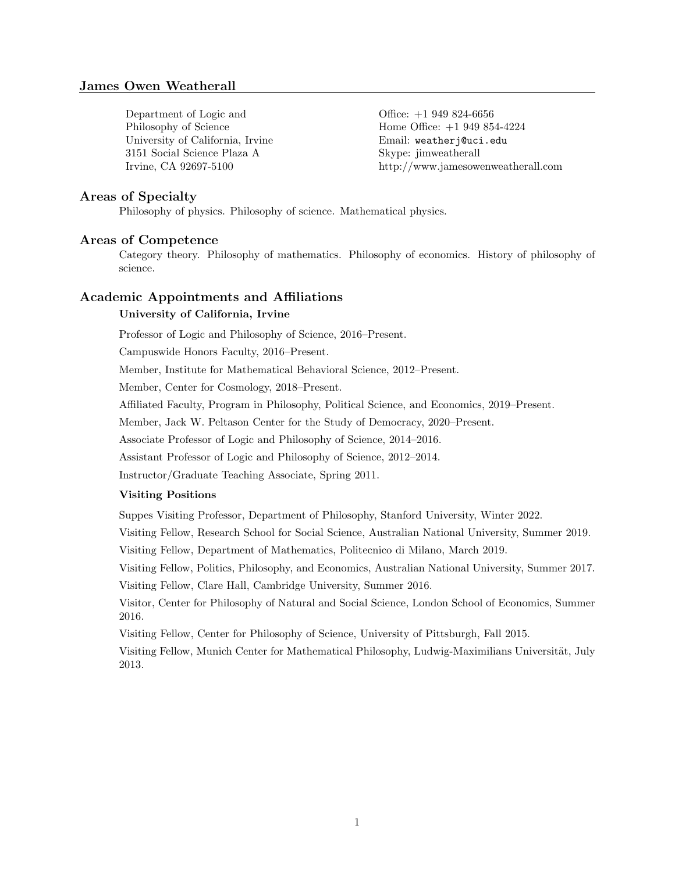# James Owen Weatherall

Department of Logic and Office: +1 949 824-6656 University of California, Irvine Email: weatherj@uci.edu 3151 Social Science Plaza A Skype: jimweatherall

Philosophy of Science Home Office:  $+1\,949\,854-4224$ Irvine, CA 92697-5100 http://www.jamesowenweatherall.com

## Areas of Specialty

Philosophy of physics. Philosophy of science. Mathematical physics.

### Areas of Competence

Category theory. Philosophy of mathematics. Philosophy of economics. History of philosophy of science.

# Academic Appointments and Affiliations

# University of California, Irvine

Professor of Logic and Philosophy of Science, 2016–Present.

Campuswide Honors Faculty, 2016–Present.

Member, Institute for Mathematical Behavioral Science, 2012–Present.

Member, Center for Cosmology, 2018–Present.

Affiliated Faculty, Program in Philosophy, Political Science, and Economics, 2019–Present.

Member, Jack W. Peltason Center for the Study of Democracy, 2020–Present.

Associate Professor of Logic and Philosophy of Science, 2014–2016.

Assistant Professor of Logic and Philosophy of Science, 2012–2014.

Instructor/Graduate Teaching Associate, Spring 2011.

## Visiting Positions

Suppes Visiting Professor, Department of Philosophy, Stanford University, Winter 2022.

Visiting Fellow, Research School for Social Science, Australian National University, Summer 2019.

Visiting Fellow, Department of Mathematics, Politecnico di Milano, March 2019.

Visiting Fellow, Politics, Philosophy, and Economics, Australian National University, Summer 2017. Visiting Fellow, Clare Hall, Cambridge University, Summer 2016.

Visitor, Center for Philosophy of Natural and Social Science, London School of Economics, Summer 2016.

Visiting Fellow, Center for Philosophy of Science, University of Pittsburgh, Fall 2015.

Visiting Fellow, Munich Center for Mathematical Philosophy, Ludwig-Maximilians Universität, July 2013.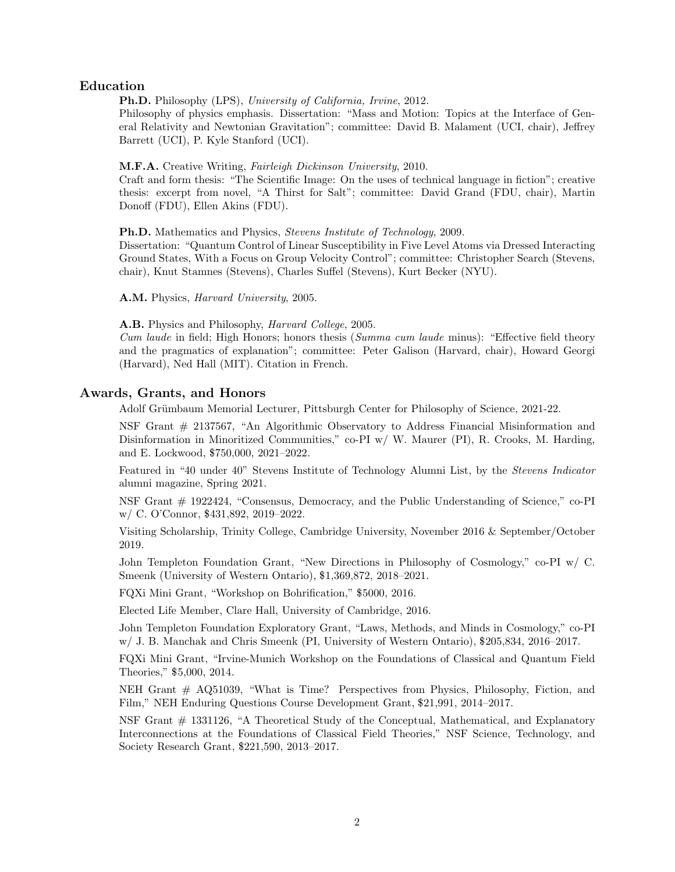# Education

Ph.D. Philosophy (LPS), University of California, Irvine, 2012.

Philosophy of physics emphasis. Dissertation: "Mass and Motion: Topics at the Interface of General Relativity and Newtonian Gravitation"; committee: David B. Malament (UCI, chair), Jeffrey Barrett (UCI), P. Kyle Stanford (UCI).

#### M.F.A. Creative Writing, Fairleigh Dickinson University, 2010.

Craft and form thesis: "The Scientific Image: On the uses of technical language in fiction"; creative thesis: excerpt from novel, "A Thirst for Salt"; committee: David Grand (FDU, chair), Martin Donoff (FDU), Ellen Akins (FDU).

**Ph.D.** Mathematics and Physics, *Stevens Institute of Technology*, 2009.

Dissertation: "Quantum Control of Linear Susceptibility in Five Level Atoms via Dressed Interacting Ground States, With a Focus on Group Velocity Control"; committee: Christopher Search (Stevens, chair), Knut Stamnes (Stevens), Charles Suffel (Stevens), Kurt Becker (NYU).

A.M. Physics, Harvard University, 2005.

#### A.B. Physics and Philosophy, *Harvard College*, 2005.

Cum laude in field; High Honors; honors thesis (Summa cum laude minus): "Effective field theory and the pragmatics of explanation"; committee: Peter Galison (Harvard, chair), Howard Georgi (Harvard), Ned Hall (MIT). Citation in French.

# Awards, Grants, and Honors

Adolf Grümbaum Memorial Lecturer, Pittsburgh Center for Philosophy of Science, 2021-22.

NSF Grant # 2137567, "An Algorithmic Observatory to Address Financial Misinformation and Disinformation in Minoritized Communities," co-PI w/ W. Maurer (PI), R. Crooks, M. Harding, and E. Lockwood, \$750,000, 2021–2022.

Featured in "40 under 40" Stevens Institute of Technology Alumni List, by the Stevens Indicator alumni magazine, Spring 2021.

NSF Grant # 1922424, "Consensus, Democracy, and the Public Understanding of Science," co-PI w/ C. O'Connor, \$431,892, 2019–2022.

Visiting Scholarship, Trinity College, Cambridge University, November 2016 & September/October 2019.

John Templeton Foundation Grant, "New Directions in Philosophy of Cosmology," co-PI w/ C. Smeenk (University of Western Ontario), \$1,369,872, 2018–2021.

FQXi Mini Grant, "Workshop on Bohrification," \$5000, 2016.

Elected Life Member, Clare Hall, University of Cambridge, 2016.

John Templeton Foundation Exploratory Grant, "Laws, Methods, and Minds in Cosmology," co-PI w/ J. B. Manchak and Chris Smeenk (PI, University of Western Ontario), \$205,834, 2016–2017.

FQXi Mini Grant, "Irvine-Munich Workshop on the Foundations of Classical and Quantum Field Theories," \$5,000, 2014.

NEH Grant  $#$  AQ51039, "What is Time? Perspectives from Physics, Philosophy, Fiction, and Film," NEH Enduring Questions Course Development Grant, \$21,991, 2014–2017.

NSF Grant # 1331126, "A Theoretical Study of the Conceptual, Mathematical, and Explanatory Interconnections at the Foundations of Classical Field Theories," NSF Science, Technology, and Society Research Grant, \$221,590, 2013–2017.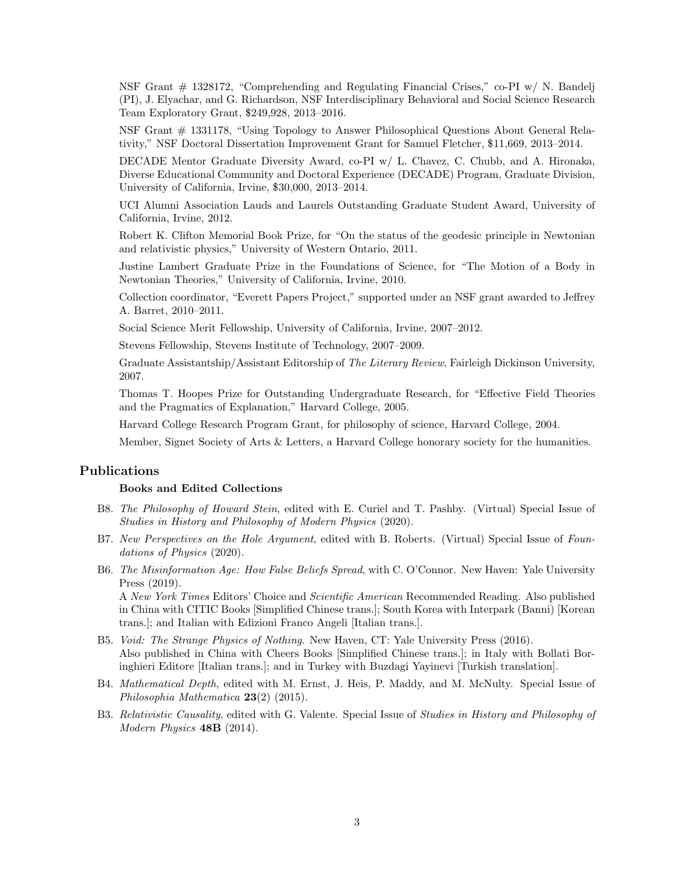NSF Grant # 1328172, "Comprehending and Regulating Financial Crises," co-PI w/ N. Bandelj (PI), J. Elyachar, and G. Richardson, NSF Interdisciplinary Behavioral and Social Science Research Team Exploratory Grant, \$249,928, 2013–2016.

NSF Grant # 1331178, "Using Topology to Answer Philosophical Questions About General Relativity," NSF Doctoral Dissertation Improvement Grant for Samuel Fletcher, \$11,669, 2013–2014.

DECADE Mentor Graduate Diversity Award, co-PI w/ L. Chavez, C. Chubb, and A. Hironaka, Diverse Educational Community and Doctoral Experience (DECADE) Program, Graduate Division, University of California, Irvine, \$30,000, 2013–2014.

UCI Alumni Association Lauds and Laurels Outstanding Graduate Student Award, University of California, Irvine, 2012.

Robert K. Clifton Memorial Book Prize, for "On the status of the geodesic principle in Newtonian and relativistic physics," University of Western Ontario, 2011.

Justine Lambert Graduate Prize in the Foundations of Science, for "The Motion of a Body in Newtonian Theories," University of California, Irvine, 2010.

Collection coordinator, "Everett Papers Project," supported under an NSF grant awarded to Jeffrey A. Barret, 2010–2011.

Social Science Merit Fellowship, University of California, Irvine, 2007–2012.

Stevens Fellowship, Stevens Institute of Technology, 2007–2009.

Graduate Assistantship/Assistant Editorship of The Literary Review, Fairleigh Dickinson University, 2007.

Thomas T. Hoopes Prize for Outstanding Undergraduate Research, for "Effective Field Theories and the Pragmatics of Explanation," Harvard College, 2005.

Harvard College Research Program Grant, for philosophy of science, Harvard College, 2004.

Member, Signet Society of Arts & Letters, a Harvard College honorary society for the humanities.

# Publications

#### Books and Edited Collections

- B8. The Philosophy of Howard Stein, edited with E. Curiel and T. Pashby. (Virtual) Special Issue of Studies in History and Philosophy of Modern Physics (2020).
- B7. New Perspectives on the Hole Argument, edited with B. Roberts. (Virtual) Special Issue of Foundations of Physics (2020).
- B6. The Misinformation Age: How False Beliefs Spread, with C. O'Connor. New Haven: Yale University Press (2019).

A New York Times Editors' Choice and Scientific American Recommended Reading. Also published in China with CITIC Books [Simplified Chinese trans.]; South Korea with Interpark (Banni) [Korean trans.]; and Italian with Edizioni Franco Angeli [Italian trans.].

- B5. Void: The Strange Physics of Nothing. New Haven, CT: Yale University Press (2016). Also published in China with Cheers Books [Simplified Chinese trans.]; in Italy with Bollati Boringhieri Editore [Italian trans.]; and in Turkey with Buzdagi Yayinevi [Turkish translation].
- B4. Mathematical Depth, edited with M. Ernst, J. Heis, P. Maddy, and M. McNulty. Special Issue of Philosophia Mathematica 23(2) (2015).
- B3. Relativistic Causality, edited with G. Valente. Special Issue of Studies in History and Philosophy of Modern Physics 48B (2014).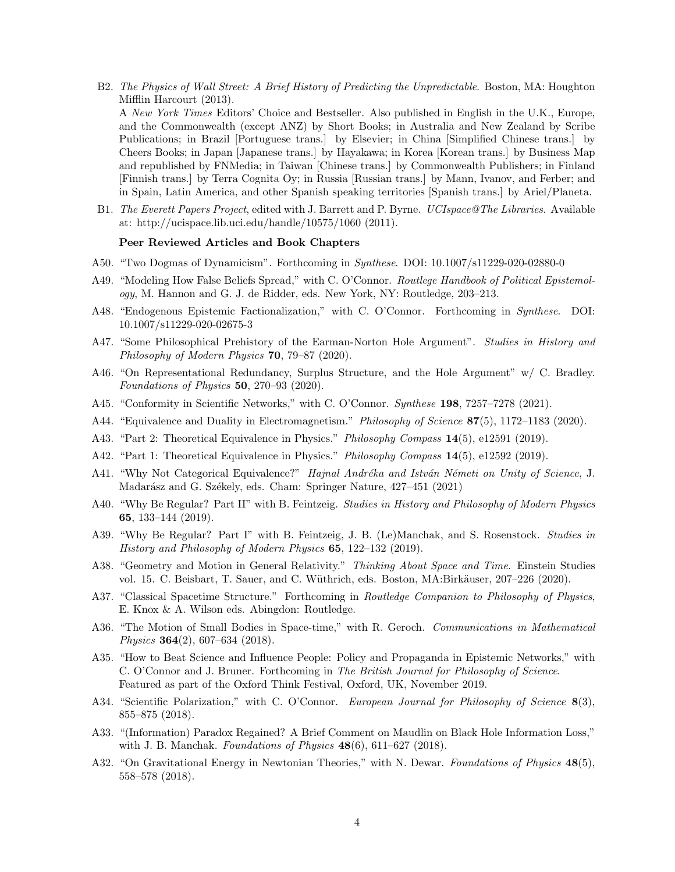- B2. The Physics of Wall Street: A Brief History of Predicting the Unpredictable. Boston, MA: Houghton Mifflin Harcourt (2013). A New York Times Editors' Choice and Bestseller. Also published in English in the U.K., Europe, and the Commonwealth (except ANZ) by Short Books; in Australia and New Zealand by Scribe Publications; in Brazil [Portuguese trans.] by Elsevier; in China [Simplified Chinese trans.] by Cheers Books; in Japan [Japanese trans.] by Hayakawa; in Korea [Korean trans.] by Business Map and republished by FNMedia; in Taiwan [Chinese trans.] by Commonwealth Publishers; in Finland [Finnish trans.] by Terra Cognita Oy; in Russia [Russian trans.] by Mann, Ivanov, and Ferber; and in Spain, Latin America, and other Spanish speaking territories [Spanish trans.] by Ariel/Planeta.
- B1. The Everett Papers Project, edited with J. Barrett and P. Byrne. UCIspace@The Libraries. Available at: http://ucispace.lib.uci.edu/handle/10575/1060 (2011).

#### Peer Reviewed Articles and Book Chapters

- A50. "Two Dogmas of Dynamicism". Forthcoming in Synthese. DOI: 10.1007/s11229-020-02880-0
- A49. "Modeling How False Beliefs Spread," with C. O'Connor. Routlege Handbook of Political Epistemology, M. Hannon and G. J. de Ridder, eds. New York, NY: Routledge, 203–213.
- A48. "Endogenous Epistemic Factionalization," with C. O'Connor. Forthcoming in Synthese. DOI: 10.1007/s11229-020-02675-3
- A47. "Some Philosophical Prehistory of the Earman-Norton Hole Argument". Studies in History and Philosophy of Modern Physics 70, 79–87 (2020).
- A46. "On Representational Redundancy, Surplus Structure, and the Hole Argument" w/ C. Bradley. Foundations of Physics 50, 270–93 (2020).
- A45. "Conformity in Scientific Networks," with C. O'Connor. Synthese 198, 7257–7278 (2021).
- A44. "Equivalence and Duality in Electromagnetism." Philosophy of Science 87(5), 1172–1183 (2020).
- A43. "Part 2: Theoretical Equivalence in Physics." Philosophy Compass 14(5), e12591 (2019).
- A42. "Part 1: Theoretical Equivalence in Physics." *Philosophy Compass* 14(5), e12592 (2019).
- A41. "Why Not Categorical Equivalence?" Hajnal Andréka and István Németi on Unity of Science, J. Madarász and G. Székely, eds. Cham: Springer Nature, 427-451 (2021)
- A40. "Why Be Regular? Part II" with B. Feintzeig. Studies in History and Philosophy of Modern Physics 65, 133–144 (2019).
- A39. "Why Be Regular? Part I" with B. Feintzeig, J. B. (Le)Manchak, and S. Rosenstock. Studies in History and Philosophy of Modern Physics 65, 122–132 (2019).
- A38. "Geometry and Motion in General Relativity." Thinking About Space and Time. Einstein Studies vol. 15. C. Beisbart, T. Sauer, and C. Wüthrich, eds. Boston, MA:Birkäuser, 207–226 (2020).
- A37. "Classical Spacetime Structure." Forthcoming in Routledge Companion to Philosophy of Physics, E. Knox & A. Wilson eds. Abingdon: Routledge.
- A36. "The Motion of Small Bodies in Space-time," with R. Geroch. *Communications in Mathematical* Physics 364(2), 607–634 (2018).
- A35. "How to Beat Science and Influence People: Policy and Propaganda in Epistemic Networks," with C. O'Connor and J. Bruner. Forthcoming in The British Journal for Philosophy of Science. Featured as part of the Oxford Think Festival, Oxford, UK, November 2019.
- A34. "Scientific Polarization," with C. O'Connor. European Journal for Philosophy of Science 8(3), 855–875 (2018).
- A33. "(Information) Paradox Regained? A Brief Comment on Maudlin on Black Hole Information Loss," with J. B. Manchak. Foundations of Physics  $48(6)$ ,  $611-627$  (2018).
- A32. "On Gravitational Energy in Newtonian Theories," with N. Dewar. Foundations of Physics 48(5), 558–578 (2018).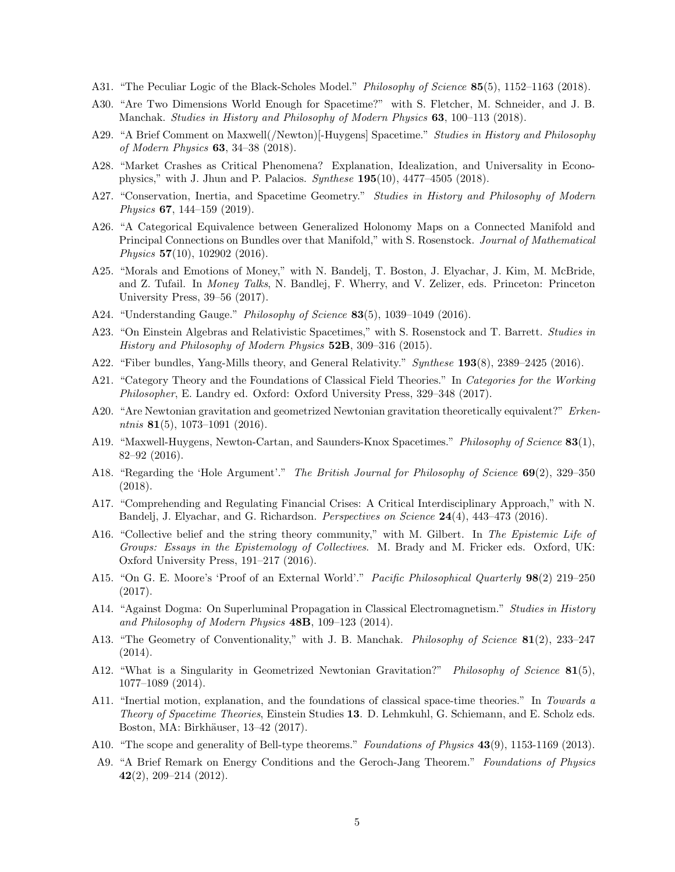- A31. "The Peculiar Logic of the Black-Scholes Model." *Philosophy of Science* 85(5), 1152–1163 (2018).
- A30. "Are Two Dimensions World Enough for Spacetime?" with S. Fletcher, M. Schneider, and J. B. Manchak. Studies in History and Philosophy of Modern Physics 63, 100–113 (2018).
- A29. "A Brief Comment on Maxwell(/Newton)[-Huygens] Spacetime." Studies in History and Philosophy of Modern Physics 63, 34–38 (2018).
- A28. "Market Crashes as Critical Phenomena? Explanation, Idealization, and Universality in Econophysics," with J. Jhun and P. Palacios.  $Synthese$  195(10), 4477–4505 (2018).
- A27. "Conservation, Inertia, and Spacetime Geometry." Studies in History and Philosophy of Modern Physics 67, 144–159 (2019).
- A26. "A Categorical Equivalence between Generalized Holonomy Maps on a Connected Manifold and Principal Connections on Bundles over that Manifold," with S. Rosenstock. Journal of Mathematical Physics 57(10), 102902 (2016).
- A25. "Morals and Emotions of Money," with N. Bandelj, T. Boston, J. Elyachar, J. Kim, M. McBride, and Z. Tufail. In Money Talks, N. Bandlej, F. Wherry, and V. Zelizer, eds. Princeton: Princeton University Press, 39–56 (2017).
- A24. "Understanding Gauge." *Philosophy of Science* 83(5), 1039-1049 (2016).
- A23. "On Einstein Algebras and Relativistic Spacetimes," with S. Rosenstock and T. Barrett. Studies in History and Philosophy of Modern Physics 52B, 309–316 (2015).
- A22. "Fiber bundles, Yang-Mills theory, and General Relativity." Synthese 193(8), 2389–2425 (2016).
- A21. "Category Theory and the Foundations of Classical Field Theories." In Categories for the Working Philosopher, E. Landry ed. Oxford: Oxford University Press, 329–348 (2017).
- A20. "Are Newtonian gravitation and geometrized Newtonian gravitation theoretically equivalent?" Erkenntnis 81(5), 1073–1091 (2016).
- A19. "Maxwell-Huygens, Newton-Cartan, and Saunders-Knox Spacetimes." Philosophy of Science 83(1), 82–92 (2016).
- A18. "Regarding the 'Hole Argument'." The British Journal for Philosophy of Science 69(2), 329–350 (2018).
- A17. "Comprehending and Regulating Financial Crises: A Critical Interdisciplinary Approach," with N. Bandelj, J. Elyachar, and G. Richardson. *Perspectives on Science* 24(4), 443–473 (2016).
- A16. "Collective belief and the string theory community," with M. Gilbert. In The Epistemic Life of Groups: Essays in the Epistemology of Collectives. M. Brady and M. Fricker eds. Oxford, UK: Oxford University Press, 191–217 (2016).
- A15. "On G. E. Moore's 'Proof of an External World'." Pacific Philosophical Quarterly 98(2) 219–250 (2017).
- A14. "Against Dogma: On Superluminal Propagation in Classical Electromagnetism." Studies in History and Philosophy of Modern Physics 48B, 109–123 (2014).
- A13. "The Geometry of Conventionality," with J. B. Manchak. *Philosophy of Science* 81(2), 233–247 (2014).
- A12. "What is a Singularity in Geometrized Newtonian Gravitation?" Philosophy of Science 81(5), 1077–1089 (2014).
- A11. "Inertial motion, explanation, and the foundations of classical space-time theories." In Towards a Theory of Spacetime Theories, Einstein Studies 13. D. Lehmkuhl, G. Schiemann, and E. Scholz eds. Boston, MA: Birkhäuser, 13-42 (2017).
- A10. "The scope and generality of Bell-type theorems." Foundations of Physics 43(9), 1153-1169 (2013).
- A9. "A Brief Remark on Energy Conditions and the Geroch-Jang Theorem." Foundations of Physics  $42(2)$ , 209-214 (2012).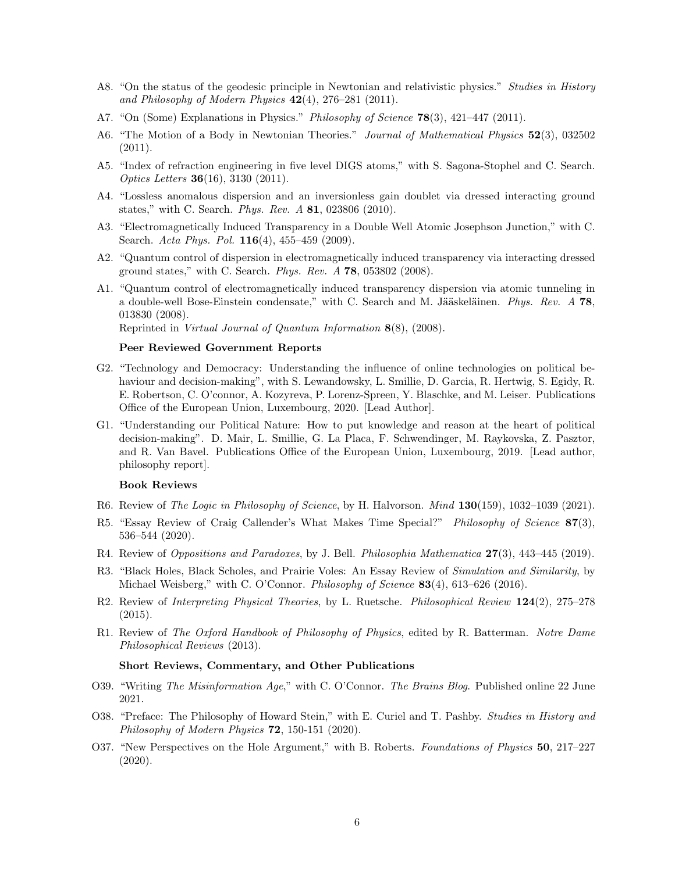- A8. "On the status of the geodesic principle in Newtonian and relativistic physics." Studies in History and Philosophy of Modern Physics  $42(4)$ , 276–281 (2011).
- A7. "On (Some) Explanations in Physics." *Philosophy of Science* **78**(3), 421–447 (2011).
- A6. "The Motion of a Body in Newtonian Theories." *Journal of Mathematical Physics* 52(3), 032502 (2011).
- A5. "Index of refraction engineering in five level DIGS atoms," with S. Sagona-Stophel and C. Search. Optics Letters 36(16), 3130 (2011).
- A4. "Lossless anomalous dispersion and an inversionless gain doublet via dressed interacting ground states," with C. Search. Phys. Rev. A 81, 023806 (2010).
- A3. "Electromagnetically Induced Transparency in a Double Well Atomic Josephson Junction," with C. Search. Acta Phys. Pol. 116(4), 455–459 (2009).
- A2. "Quantum control of dispersion in electromagnetically induced transparency via interacting dressed ground states," with C. Search. Phys. Rev. A 78, 053802 (2008).
- A1. "Quantum control of electromagnetically induced transparency dispersion via atomic tunneling in a double-well Bose-Einstein condensate," with C. Search and M. Jääskeläinen. Phys. Rev. A 78, 013830 (2008).

Reprinted in Virtual Journal of Quantum Information 8(8), (2008).

#### Peer Reviewed Government Reports

- G2. "Technology and Democracy: Understanding the influence of online technologies on political behaviour and decision-making", with S. Lewandowsky, L. Smillie, D. Garcia, R. Hertwig, S. Egidy, R. E. Robertson, C. O'connor, A. Kozyreva, P. Lorenz-Spreen, Y. Blaschke, and M. Leiser. Publications Office of the European Union, Luxembourg, 2020. [Lead Author].
- G1. "Understanding our Political Nature: How to put knowledge and reason at the heart of political decision-making". D. Mair, L. Smillie, G. La Placa, F. Schwendinger, M. Raykovska, Z. Pasztor, and R. Van Bavel. Publications Office of the European Union, Luxembourg, 2019. [Lead author, philosophy report].

### Book Reviews

- R6. Review of The Logic in Philosophy of Science, by H. Halvorson. Mind  $130(159)$ , 1032-1039 (2021).
- R5. "Essay Review of Craig Callender's What Makes Time Special?" Philosophy of Science 87(3), 536–544 (2020).
- R4. Review of Oppositions and Paradoxes, by J. Bell. Philosophia Mathematica  $27(3)$ , 443-445 (2019).
- R3. "Black Holes, Black Scholes, and Prairie Voles: An Essay Review of Simulation and Similarity, by Michael Weisberg," with C. O'Connor. *Philosophy of Science* 83(4), 613–626 (2016).
- R2. Review of Interpreting Physical Theories, by L. Ruetsche. Philosophical Review 124(2), 275–278 (2015).
- R1. Review of The Oxford Handbook of Philosophy of Physics, edited by R. Batterman. Notre Dame Philosophical Reviews (2013).

#### Short Reviews, Commentary, and Other Publications

- O39. "Writing The Misinformation Age," with C. O'Connor. The Brains Blog. Published online 22 June 2021.
- O38. "Preface: The Philosophy of Howard Stein," with E. Curiel and T. Pashby. Studies in History and Philosophy of Modern Physics 72, 150-151 (2020).
- O37. "New Perspectives on the Hole Argument," with B. Roberts. Foundations of Physics 50, 217–227 (2020).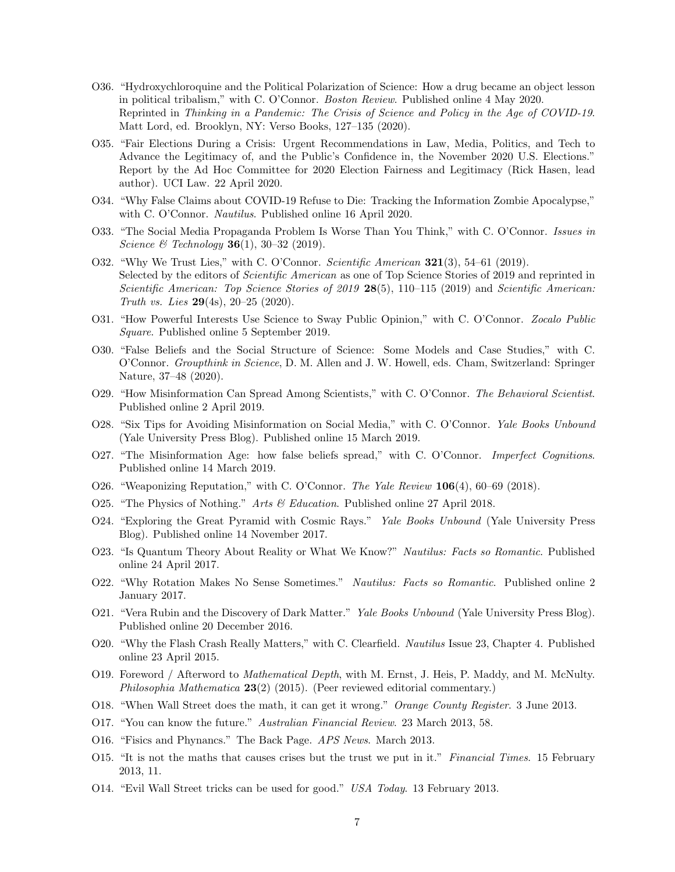- O36. "Hydroxychloroquine and the Political Polarization of Science: How a drug became an object lesson in political tribalism," with C. O'Connor. Boston Review. Published online 4 May 2020. Reprinted in Thinking in a Pandemic: The Crisis of Science and Policy in the Age of COVID-19. Matt Lord, ed. Brooklyn, NY: Verso Books, 127–135 (2020).
- O35. "Fair Elections During a Crisis: Urgent Recommendations in Law, Media, Politics, and Tech to Advance the Legitimacy of, and the Public's Confidence in, the November 2020 U.S. Elections." Report by the Ad Hoc Committee for 2020 Election Fairness and Legitimacy (Rick Hasen, lead author). UCI Law. 22 April 2020.
- O34. "Why False Claims about COVID-19 Refuse to Die: Tracking the Information Zombie Apocalypse," with C. O'Connor. Nautilus. Published online 16 April 2020.
- O33. "The Social Media Propaganda Problem Is Worse Than You Think," with C. O'Connor. Issues in Science & Technology **36**(1), 30–32 (2019).
- O32. "Why We Trust Lies," with C. O'Connor. Scientific American **321**(3), 54–61 (2019). Selected by the editors of Scientific American as one of Top Science Stories of 2019 and reprinted in Scientific American: Top Science Stories of 2019 28(5), 110–115 (2019) and Scientific American: Truth vs. Lies  $29(4s)$ ,  $20-25$  (2020).
- O31. "How Powerful Interests Use Science to Sway Public Opinion," with C. O'Connor. Zocalo Public Square. Published online 5 September 2019.
- O30. "False Beliefs and the Social Structure of Science: Some Models and Case Studies," with C. O'Connor. Groupthink in Science, D. M. Allen and J. W. Howell, eds. Cham, Switzerland: Springer Nature, 37–48 (2020).
- O29. "How Misinformation Can Spread Among Scientists," with C. O'Connor. The Behavioral Scientist. Published online 2 April 2019.
- O28. "Six Tips for Avoiding Misinformation on Social Media," with C. O'Connor. Yale Books Unbound (Yale University Press Blog). Published online 15 March 2019.
- O27. "The Misinformation Age: how false beliefs spread," with C. O'Connor. Imperfect Cognitions. Published online 14 March 2019.
- O26. "Weaponizing Reputation," with C. O'Connor. The Yale Review 106(4), 60-69 (2018).
- O25. "The Physics of Nothing." Arts & Education. Published online 27 April 2018.
- O24. "Exploring the Great Pyramid with Cosmic Rays." Yale Books Unbound (Yale University Press Blog). Published online 14 November 2017.
- O23. "Is Quantum Theory About Reality or What We Know?" Nautilus: Facts so Romantic. Published online 24 April 2017.
- O22. "Why Rotation Makes No Sense Sometimes." Nautilus: Facts so Romantic. Published online 2 January 2017.
- O21. "Vera Rubin and the Discovery of Dark Matter." Yale Books Unbound (Yale University Press Blog). Published online 20 December 2016.
- O20. "Why the Flash Crash Really Matters," with C. Clearfield. Nautilus Issue 23, Chapter 4. Published online 23 April 2015.
- O19. Foreword / Afterword to Mathematical Depth, with M. Ernst, J. Heis, P. Maddy, and M. McNulty. Philosophia Mathematica 23(2) (2015). (Peer reviewed editorial commentary.)
- O18. "When Wall Street does the math, it can get it wrong." Orange County Register. 3 June 2013.
- O17. "You can know the future." Australian Financial Review. 23 March 2013, 58.
- O16. "Fisics and Phynancs." The Back Page. APS News. March 2013.
- O15. "It is not the maths that causes crises but the trust we put in it." Financial Times. 15 February 2013, 11.
- O14. "Evil Wall Street tricks can be used for good." USA Today. 13 February 2013.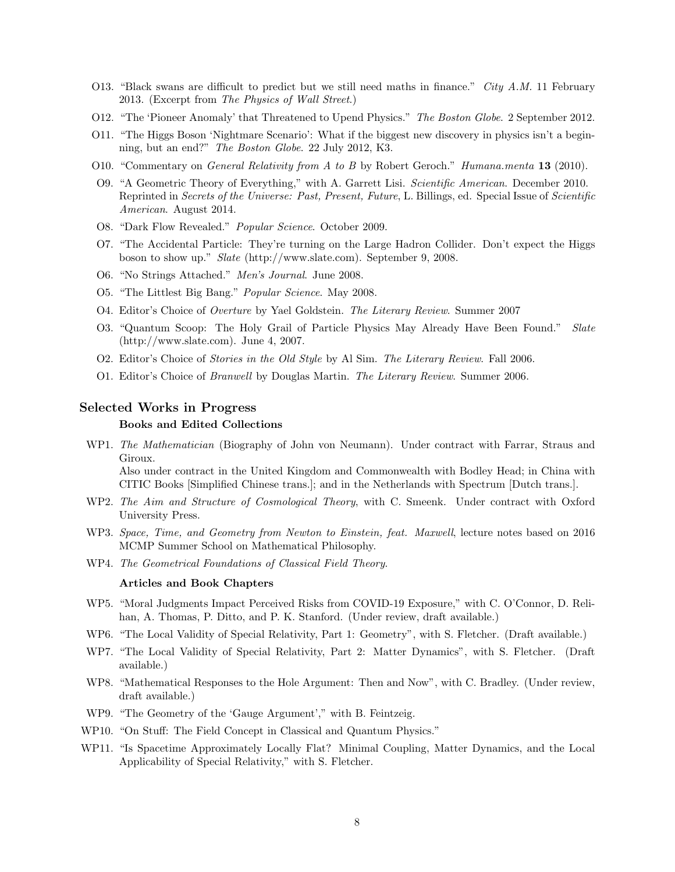- O13. "Black swans are difficult to predict but we still need maths in finance." City A.M. 11 February 2013. (Excerpt from The Physics of Wall Street.)
- O12. "The 'Pioneer Anomaly' that Threatened to Upend Physics." The Boston Globe. 2 September 2012.
- O11. "The Higgs Boson 'Nightmare Scenario': What if the biggest new discovery in physics isn't a beginning, but an end?" The Boston Globe. 22 July 2012, K3.
- O10. "Commentary on *General Relativity from A to B* by Robert Geroch." *Humana.menta* 13 (2010).
- O9. "A Geometric Theory of Everything," with A. Garrett Lisi. Scientific American. December 2010. Reprinted in Secrets of the Universe: Past, Present, Future, L. Billings, ed. Special Issue of Scientific American. August 2014.
- O8. "Dark Flow Revealed." Popular Science. October 2009.
- O7. "The Accidental Particle: They're turning on the Large Hadron Collider. Don't expect the Higgs boson to show up." Slate (http://www.slate.com). September 9, 2008.
- O6. "No Strings Attached." Men's Journal. June 2008.
- O5. "The Littlest Big Bang." Popular Science. May 2008.
- O4. Editor's Choice of Overture by Yael Goldstein. The Literary Review. Summer 2007
- O3. "Quantum Scoop: The Holy Grail of Particle Physics May Already Have Been Found." Slate (http://www.slate.com). June 4, 2007.
- O2. Editor's Choice of Stories in the Old Style by Al Sim. The Literary Review. Fall 2006.
- O1. Editor's Choice of Branwell by Douglas Martin. The Literary Review. Summer 2006.

## Selected Works in Progress

### Books and Edited Collections

WP1. The Mathematician (Biography of John von Neumann). Under contract with Farrar, Straus and Giroux. Also under contract in the United Kingdom and Commonwealth with Bodley Head; in China with

CITIC Books [Simplified Chinese trans.]; and in the Netherlands with Spectrum [Dutch trans.].

- WP2. The Aim and Structure of Cosmological Theory, with C. Smeenk. Under contract with Oxford University Press.
- WP3. Space, Time, and Geometry from Newton to Einstein, feat. Maxwell, lecture notes based on 2016 MCMP Summer School on Mathematical Philosophy.
- WP4. The Geometrical Foundations of Classical Field Theory.

#### Articles and Book Chapters

- WP5. "Moral Judgments Impact Perceived Risks from COVID-19 Exposure," with C. O'Connor, D. Relihan, A. Thomas, P. Ditto, and P. K. Stanford. (Under review, draft available.)
- WP6. "The Local Validity of Special Relativity, Part 1: Geometry", with S. Fletcher. (Draft available.)
- WP7. "The Local Validity of Special Relativity, Part 2: Matter Dynamics", with S. Fletcher. (Draft available.)
- WP8. "Mathematical Responses to the Hole Argument: Then and Now", with C. Bradley. (Under review, draft available.)
- WP9. "The Geometry of the 'Gauge Argument'," with B. Feintzeig.
- WP10. "On Stuff: The Field Concept in Classical and Quantum Physics."
- WP11. "Is Spacetime Approximately Locally Flat? Minimal Coupling, Matter Dynamics, and the Local Applicability of Special Relativity," with S. Fletcher.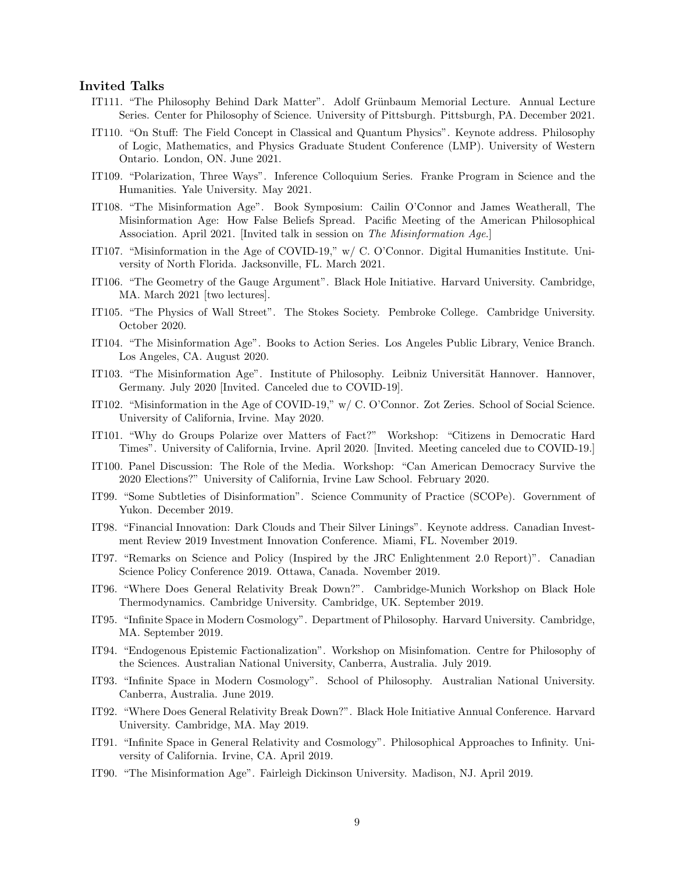## Invited Talks

- IT111. "The Philosophy Behind Dark Matter". Adolf Grünbaum Memorial Lecture. Annual Lecture Series. Center for Philosophy of Science. University of Pittsburgh. Pittsburgh, PA. December 2021.
- IT110. "On Stuff: The Field Concept in Classical and Quantum Physics". Keynote address. Philosophy of Logic, Mathematics, and Physics Graduate Student Conference (LMP). University of Western Ontario. London, ON. June 2021.
- IT109. "Polarization, Three Ways". Inference Colloquium Series. Franke Program in Science and the Humanities. Yale University. May 2021.
- IT108. "The Misinformation Age". Book Symposium: Cailin O'Connor and James Weatherall, The Misinformation Age: How False Beliefs Spread. Pacific Meeting of the American Philosophical Association. April 2021. [Invited talk in session on The Misinformation Age.]
- IT107. "Misinformation in the Age of COVID-19," w/ C. O'Connor. Digital Humanities Institute. University of North Florida. Jacksonville, FL. March 2021.
- IT106. "The Geometry of the Gauge Argument". Black Hole Initiative. Harvard University. Cambridge, MA. March 2021 [two lectures].
- IT105. "The Physics of Wall Street". The Stokes Society. Pembroke College. Cambridge University. October 2020.
- IT104. "The Misinformation Age". Books to Action Series. Los Angeles Public Library, Venice Branch. Los Angeles, CA. August 2020.
- IT103. "The Misinformation Age". Institute of Philosophy. Leibniz Universität Hannover. Hannover, Germany. July 2020 [Invited. Canceled due to COVID-19].
- IT102. "Misinformation in the Age of COVID-19," w/ C. O'Connor. Zot Zeries. School of Social Science. University of California, Irvine. May 2020.
- IT101. "Why do Groups Polarize over Matters of Fact?" Workshop: "Citizens in Democratic Hard Times". University of California, Irvine. April 2020. [Invited. Meeting canceled due to COVID-19.]
- IT100. Panel Discussion: The Role of the Media. Workshop: "Can American Democracy Survive the 2020 Elections?" University of California, Irvine Law School. February 2020.
- IT99. "Some Subtleties of Disinformation". Science Community of Practice (SCOPe). Government of Yukon. December 2019.
- IT98. "Financial Innovation: Dark Clouds and Their Silver Linings". Keynote address. Canadian Investment Review 2019 Investment Innovation Conference. Miami, FL. November 2019.
- IT97. "Remarks on Science and Policy (Inspired by the JRC Enlightenment 2.0 Report)". Canadian Science Policy Conference 2019. Ottawa, Canada. November 2019.
- IT96. "Where Does General Relativity Break Down?". Cambridge-Munich Workshop on Black Hole Thermodynamics. Cambridge University. Cambridge, UK. September 2019.
- IT95. "Infinite Space in Modern Cosmology". Department of Philosophy. Harvard University. Cambridge, MA. September 2019.
- IT94. "Endogenous Epistemic Factionalization". Workshop on Misinfomation. Centre for Philosophy of the Sciences. Australian National University, Canberra, Australia. July 2019.
- IT93. "Infinite Space in Modern Cosmology". School of Philosophy. Australian National University. Canberra, Australia. June 2019.
- IT92. "Where Does General Relativity Break Down?". Black Hole Initiative Annual Conference. Harvard University. Cambridge, MA. May 2019.
- IT91. "Infinite Space in General Relativity and Cosmology". Philosophical Approaches to Infinity. University of California. Irvine, CA. April 2019.
- IT90. "The Misinformation Age". Fairleigh Dickinson University. Madison, NJ. April 2019.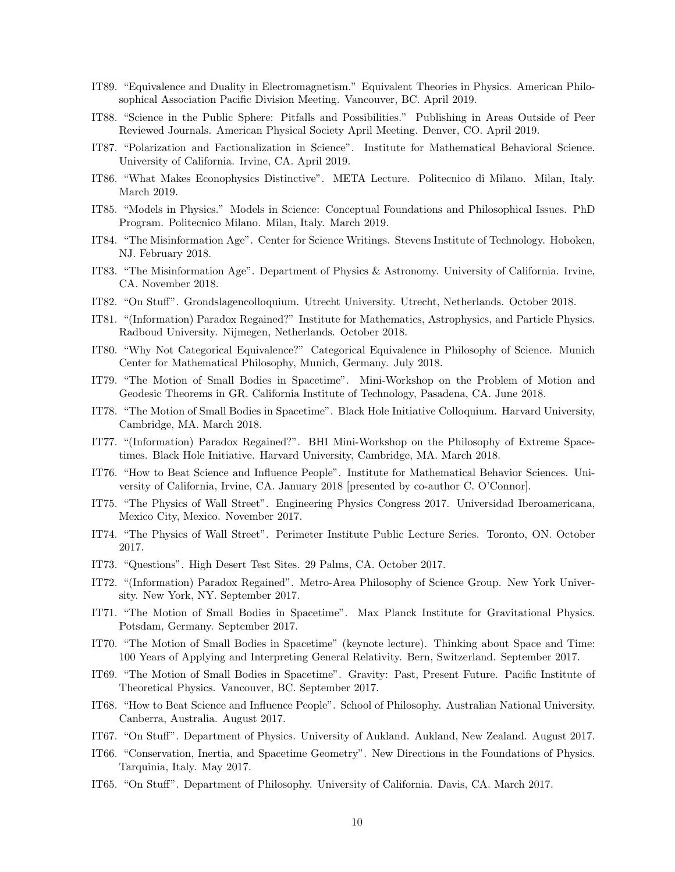- IT89. "Equivalence and Duality in Electromagnetism." Equivalent Theories in Physics. American Philosophical Association Pacific Division Meeting. Vancouver, BC. April 2019.
- IT88. "Science in the Public Sphere: Pitfalls and Possibilities." Publishing in Areas Outside of Peer Reviewed Journals. American Physical Society April Meeting. Denver, CO. April 2019.
- IT87. "Polarization and Factionalization in Science". Institute for Mathematical Behavioral Science. University of California. Irvine, CA. April 2019.
- IT86. "What Makes Econophysics Distinctive". META Lecture. Politecnico di Milano. Milan, Italy. March 2019.
- IT85. "Models in Physics." Models in Science: Conceptual Foundations and Philosophical Issues. PhD Program. Politecnico Milano. Milan, Italy. March 2019.
- IT84. "The Misinformation Age". Center for Science Writings. Stevens Institute of Technology. Hoboken, NJ. February 2018.
- IT83. "The Misinformation Age". Department of Physics & Astronomy. University of California. Irvine, CA. November 2018.
- IT82. "On Stuff". Grondslagencolloquium. Utrecht University. Utrecht, Netherlands. October 2018.
- IT81. "(Information) Paradox Regained?" Institute for Mathematics, Astrophysics, and Particle Physics. Radboud University. Nijmegen, Netherlands. October 2018.
- IT80. "Why Not Categorical Equivalence?" Categorical Equivalence in Philosophy of Science. Munich Center for Mathematical Philosophy, Munich, Germany. July 2018.
- IT79. "The Motion of Small Bodies in Spacetime". Mini-Workshop on the Problem of Motion and Geodesic Theorems in GR. California Institute of Technology, Pasadena, CA. June 2018.
- IT78. "The Motion of Small Bodies in Spacetime". Black Hole Initiative Colloquium. Harvard University, Cambridge, MA. March 2018.
- IT77. "(Information) Paradox Regained?". BHI Mini-Workshop on the Philosophy of Extreme Spacetimes. Black Hole Initiative. Harvard University, Cambridge, MA. March 2018.
- IT76. "How to Beat Science and Influence People". Institute for Mathematical Behavior Sciences. University of California, Irvine, CA. January 2018 [presented by co-author C. O'Connor].
- IT75. "The Physics of Wall Street". Engineering Physics Congress 2017. Universidad Iberoamericana, Mexico City, Mexico. November 2017.
- IT74. "The Physics of Wall Street". Perimeter Institute Public Lecture Series. Toronto, ON. October 2017.
- IT73. "Questions". High Desert Test Sites. 29 Palms, CA. October 2017.
- IT72. "(Information) Paradox Regained". Metro-Area Philosophy of Science Group. New York University. New York, NY. September 2017.
- IT71. "The Motion of Small Bodies in Spacetime". Max Planck Institute for Gravitational Physics. Potsdam, Germany. September 2017.
- IT70. "The Motion of Small Bodies in Spacetime" (keynote lecture). Thinking about Space and Time: 100 Years of Applying and Interpreting General Relativity. Bern, Switzerland. September 2017.
- IT69. "The Motion of Small Bodies in Spacetime". Gravity: Past, Present Future. Pacific Institute of Theoretical Physics. Vancouver, BC. September 2017.
- IT68. "How to Beat Science and Influence People". School of Philosophy. Australian National University. Canberra, Australia. August 2017.
- IT67. "On Stuff". Department of Physics. University of Aukland. Aukland, New Zealand. August 2017.
- IT66. "Conservation, Inertia, and Spacetime Geometry". New Directions in the Foundations of Physics. Tarquinia, Italy. May 2017.
- IT65. "On Stuff". Department of Philosophy. University of California. Davis, CA. March 2017.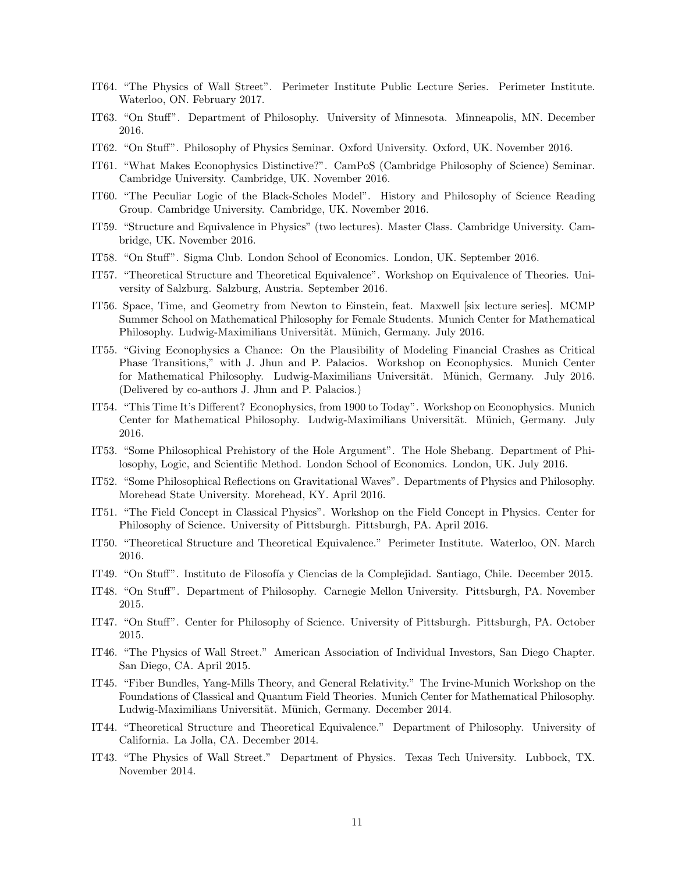- IT64. "The Physics of Wall Street". Perimeter Institute Public Lecture Series. Perimeter Institute. Waterloo, ON. February 2017.
- IT63. "On Stuff". Department of Philosophy. University of Minnesota. Minneapolis, MN. December 2016.
- IT62. "On Stuff". Philosophy of Physics Seminar. Oxford University. Oxford, UK. November 2016.
- IT61. "What Makes Econophysics Distinctive?". CamPoS (Cambridge Philosophy of Science) Seminar. Cambridge University. Cambridge, UK. November 2016.
- IT60. "The Peculiar Logic of the Black-Scholes Model". History and Philosophy of Science Reading Group. Cambridge University. Cambridge, UK. November 2016.
- IT59. "Structure and Equivalence in Physics" (two lectures). Master Class. Cambridge University. Cambridge, UK. November 2016.
- IT58. "On Stuff". Sigma Club. London School of Economics. London, UK. September 2016.
- IT57. "Theoretical Structure and Theoretical Equivalence". Workshop on Equivalence of Theories. University of Salzburg. Salzburg, Austria. September 2016.
- IT56. Space, Time, and Geometry from Newton to Einstein, feat. Maxwell [six lecture series]. MCMP Summer School on Mathematical Philosophy for Female Students. Munich Center for Mathematical Philosophy. Ludwig-Maximilians Universität. Münich, Germany. July 2016.
- IT55. "Giving Econophysics a Chance: On the Plausibility of Modeling Financial Crashes as Critical Phase Transitions," with J. Jhun and P. Palacios. Workshop on Econophysics. Munich Center for Mathematical Philosophy. Ludwig-Maximilians Universität. Münich, Germany. July 2016. (Delivered by co-authors J. Jhun and P. Palacios.)
- IT54. "This Time It's Different? Econophysics, from 1900 to Today". Workshop on Econophysics. Munich Center for Mathematical Philosophy. Ludwig-Maximilians Universität. Münich, Germany. July 2016.
- IT53. "Some Philosophical Prehistory of the Hole Argument". The Hole Shebang. Department of Philosophy, Logic, and Scientific Method. London School of Economics. London, UK. July 2016.
- IT52. "Some Philosophical Reflections on Gravitational Waves". Departments of Physics and Philosophy. Morehead State University. Morehead, KY. April 2016.
- IT51. "The Field Concept in Classical Physics". Workshop on the Field Concept in Physics. Center for Philosophy of Science. University of Pittsburgh. Pittsburgh, PA. April 2016.
- IT50. "Theoretical Structure and Theoretical Equivalence." Perimeter Institute. Waterloo, ON. March 2016.
- IT49. "On Stuff". Instituto de Filosofía y Ciencias de la Complejidad. Santiago, Chile. December 2015.
- IT48. "On Stuff". Department of Philosophy. Carnegie Mellon University. Pittsburgh, PA. November 2015.
- IT47. "On Stuff". Center for Philosophy of Science. University of Pittsburgh. Pittsburgh, PA. October 2015.
- IT46. "The Physics of Wall Street." American Association of Individual Investors, San Diego Chapter. San Diego, CA. April 2015.
- IT45. "Fiber Bundles, Yang-Mills Theory, and General Relativity." The Irvine-Munich Workshop on the Foundations of Classical and Quantum Field Theories. Munich Center for Mathematical Philosophy. Ludwig-Maximilians Universität. Münich, Germany. December 2014.
- IT44. "Theoretical Structure and Theoretical Equivalence." Department of Philosophy. University of California. La Jolla, CA. December 2014.
- IT43. "The Physics of Wall Street." Department of Physics. Texas Tech University. Lubbock, TX. November 2014.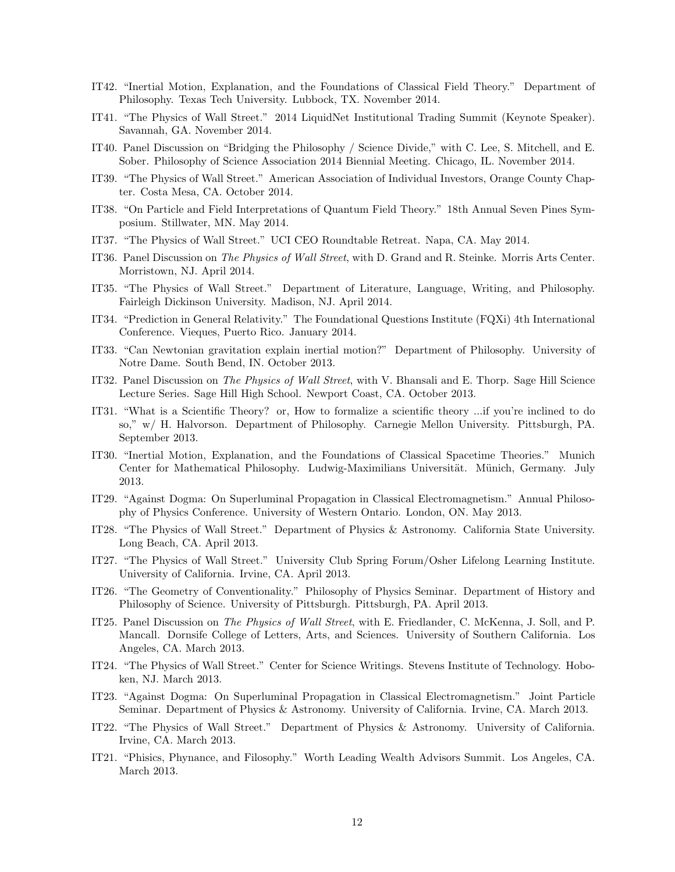- IT42. "Inertial Motion, Explanation, and the Foundations of Classical Field Theory." Department of Philosophy. Texas Tech University. Lubbock, TX. November 2014.
- IT41. "The Physics of Wall Street." 2014 LiquidNet Institutional Trading Summit (Keynote Speaker). Savannah, GA. November 2014.
- IT40. Panel Discussion on "Bridging the Philosophy / Science Divide," with C. Lee, S. Mitchell, and E. Sober. Philosophy of Science Association 2014 Biennial Meeting. Chicago, IL. November 2014.
- IT39. "The Physics of Wall Street." American Association of Individual Investors, Orange County Chapter. Costa Mesa, CA. October 2014.
- IT38. "On Particle and Field Interpretations of Quantum Field Theory." 18th Annual Seven Pines Symposium. Stillwater, MN. May 2014.
- IT37. "The Physics of Wall Street." UCI CEO Roundtable Retreat. Napa, CA. May 2014.
- IT36. Panel Discussion on The Physics of Wall Street, with D. Grand and R. Steinke. Morris Arts Center. Morristown, NJ. April 2014.
- IT35. "The Physics of Wall Street." Department of Literature, Language, Writing, and Philosophy. Fairleigh Dickinson University. Madison, NJ. April 2014.
- IT34. "Prediction in General Relativity." The Foundational Questions Institute (FQXi) 4th International Conference. Vieques, Puerto Rico. January 2014.
- IT33. "Can Newtonian gravitation explain inertial motion?" Department of Philosophy. University of Notre Dame. South Bend, IN. October 2013.
- IT32. Panel Discussion on The Physics of Wall Street, with V. Bhansali and E. Thorp. Sage Hill Science Lecture Series. Sage Hill High School. Newport Coast, CA. October 2013.
- IT31. "What is a Scientific Theory? or, How to formalize a scientific theory ...if you're inclined to do so," w/ H. Halvorson. Department of Philosophy. Carnegie Mellon University. Pittsburgh, PA. September 2013.
- IT30. "Inertial Motion, Explanation, and the Foundations of Classical Spacetime Theories." Munich Center for Mathematical Philosophy. Ludwig-Maximilians Universität. Münich, Germany. July 2013.
- IT29. "Against Dogma: On Superluminal Propagation in Classical Electromagnetism." Annual Philosophy of Physics Conference. University of Western Ontario. London, ON. May 2013.
- IT28. "The Physics of Wall Street." Department of Physics & Astronomy. California State University. Long Beach, CA. April 2013.
- IT27. "The Physics of Wall Street." University Club Spring Forum/Osher Lifelong Learning Institute. University of California. Irvine, CA. April 2013.
- IT26. "The Geometry of Conventionality." Philosophy of Physics Seminar. Department of History and Philosophy of Science. University of Pittsburgh. Pittsburgh, PA. April 2013.
- IT25. Panel Discussion on The Physics of Wall Street, with E. Friedlander, C. McKenna, J. Soll, and P. Mancall. Dornsife College of Letters, Arts, and Sciences. University of Southern California. Los Angeles, CA. March 2013.
- IT24. "The Physics of Wall Street." Center for Science Writings. Stevens Institute of Technology. Hoboken, NJ. March 2013.
- IT23. "Against Dogma: On Superluminal Propagation in Classical Electromagnetism." Joint Particle Seminar. Department of Physics & Astronomy. University of California. Irvine, CA. March 2013.
- IT22. "The Physics of Wall Street." Department of Physics & Astronomy. University of California. Irvine, CA. March 2013.
- IT21. "Phisics, Phynance, and Filosophy." Worth Leading Wealth Advisors Summit. Los Angeles, CA. March 2013.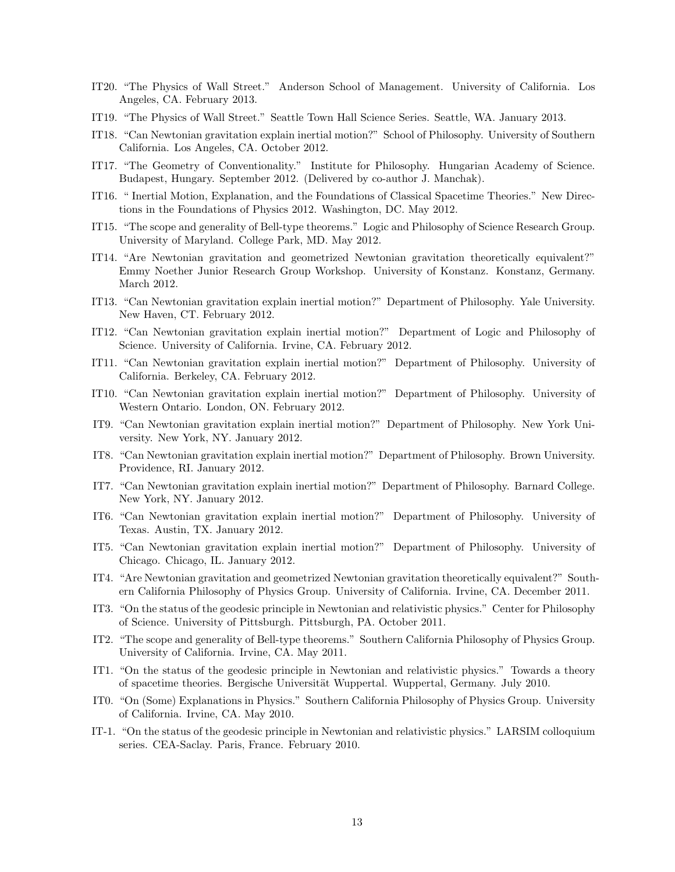- IT20. "The Physics of Wall Street." Anderson School of Management. University of California. Los Angeles, CA. February 2013.
- IT19. "The Physics of Wall Street." Seattle Town Hall Science Series. Seattle, WA. January 2013.
- IT18. "Can Newtonian gravitation explain inertial motion?" School of Philosophy. University of Southern California. Los Angeles, CA. October 2012.
- IT17. "The Geometry of Conventionality." Institute for Philosophy. Hungarian Academy of Science. Budapest, Hungary. September 2012. (Delivered by co-author J. Manchak).
- IT16. " Inertial Motion, Explanation, and the Foundations of Classical Spacetime Theories." New Directions in the Foundations of Physics 2012. Washington, DC. May 2012.
- IT15. "The scope and generality of Bell-type theorems." Logic and Philosophy of Science Research Group. University of Maryland. College Park, MD. May 2012.
- IT14. "Are Newtonian gravitation and geometrized Newtonian gravitation theoretically equivalent?" Emmy Noether Junior Research Group Workshop. University of Konstanz. Konstanz, Germany. March 2012.
- IT13. "Can Newtonian gravitation explain inertial motion?" Department of Philosophy. Yale University. New Haven, CT. February 2012.
- IT12. "Can Newtonian gravitation explain inertial motion?" Department of Logic and Philosophy of Science. University of California. Irvine, CA. February 2012.
- IT11. "Can Newtonian gravitation explain inertial motion?" Department of Philosophy. University of California. Berkeley, CA. February 2012.
- IT10. "Can Newtonian gravitation explain inertial motion?" Department of Philosophy. University of Western Ontario. London, ON. February 2012.
- IT9. "Can Newtonian gravitation explain inertial motion?" Department of Philosophy. New York University. New York, NY. January 2012.
- IT8. "Can Newtonian gravitation explain inertial motion?" Department of Philosophy. Brown University. Providence, RI. January 2012.
- IT7. "Can Newtonian gravitation explain inertial motion?" Department of Philosophy. Barnard College. New York, NY. January 2012.
- IT6. "Can Newtonian gravitation explain inertial motion?" Department of Philosophy. University of Texas. Austin, TX. January 2012.
- IT5. "Can Newtonian gravitation explain inertial motion?" Department of Philosophy. University of Chicago. Chicago, IL. January 2012.
- IT4. "Are Newtonian gravitation and geometrized Newtonian gravitation theoretically equivalent?" Southern California Philosophy of Physics Group. University of California. Irvine, CA. December 2011.
- IT3. "On the status of the geodesic principle in Newtonian and relativistic physics." Center for Philosophy of Science. University of Pittsburgh. Pittsburgh, PA. October 2011.
- IT2. "The scope and generality of Bell-type theorems." Southern California Philosophy of Physics Group. University of California. Irvine, CA. May 2011.
- IT1. "On the status of the geodesic principle in Newtonian and relativistic physics." Towards a theory of spacetime theories. Bergische Universität Wuppertal. Wuppertal, Germany. July 2010.
- IT0. "On (Some) Explanations in Physics." Southern California Philosophy of Physics Group. University of California. Irvine, CA. May 2010.
- IT-1. "On the status of the geodesic principle in Newtonian and relativistic physics." LARSIM colloquium series. CEA-Saclay. Paris, France. February 2010.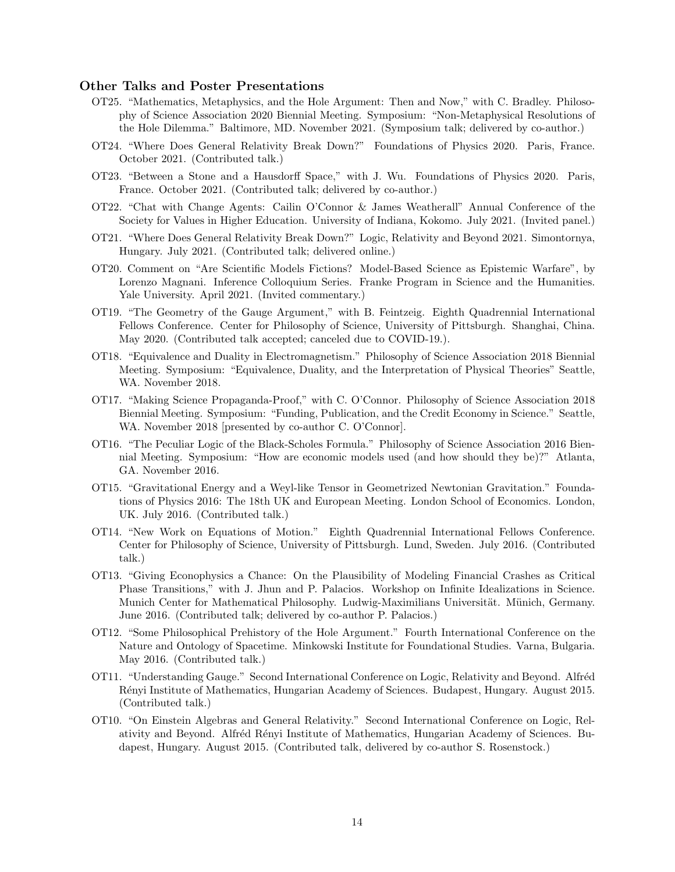## Other Talks and Poster Presentations

- OT25. "Mathematics, Metaphysics, and the Hole Argument: Then and Now," with C. Bradley. Philosophy of Science Association 2020 Biennial Meeting. Symposium: "Non-Metaphysical Resolutions of the Hole Dilemma." Baltimore, MD. November 2021. (Symposium talk; delivered by co-author.)
- OT24. "Where Does General Relativity Break Down?" Foundations of Physics 2020. Paris, France. October 2021. (Contributed talk.)
- OT23. "Between a Stone and a Hausdorff Space," with J. Wu. Foundations of Physics 2020. Paris, France. October 2021. (Contributed talk; delivered by co-author.)
- OT22. "Chat with Change Agents: Cailin O'Connor & James Weatherall" Annual Conference of the Society for Values in Higher Education. University of Indiana, Kokomo. July 2021. (Invited panel.)
- OT21. "Where Does General Relativity Break Down?" Logic, Relativity and Beyond 2021. Simontornya, Hungary. July 2021. (Contributed talk; delivered online.)
- OT20. Comment on "Are Scientific Models Fictions? Model-Based Science as Epistemic Warfare", by Lorenzo Magnani. Inference Colloquium Series. Franke Program in Science and the Humanities. Yale University. April 2021. (Invited commentary.)
- OT19. "The Geometry of the Gauge Argument," with B. Feintzeig. Eighth Quadrennial International Fellows Conference. Center for Philosophy of Science, University of Pittsburgh. Shanghai, China. May 2020. (Contributed talk accepted; canceled due to COVID-19.).
- OT18. "Equivalence and Duality in Electromagnetism." Philosophy of Science Association 2018 Biennial Meeting. Symposium: "Equivalence, Duality, and the Interpretation of Physical Theories" Seattle, WA. November 2018.
- OT17. "Making Science Propaganda-Proof," with C. O'Connor. Philosophy of Science Association 2018 Biennial Meeting. Symposium: "Funding, Publication, and the Credit Economy in Science." Seattle, WA. November 2018 [presented by co-author C. O'Connor].
- OT16. "The Peculiar Logic of the Black-Scholes Formula." Philosophy of Science Association 2016 Biennial Meeting. Symposium: "How are economic models used (and how should they be)?" Atlanta, GA. November 2016.
- OT15. "Gravitational Energy and a Weyl-like Tensor in Geometrized Newtonian Gravitation." Foundations of Physics 2016: The 18th UK and European Meeting. London School of Economics. London, UK. July 2016. (Contributed talk.)
- OT14. "New Work on Equations of Motion." Eighth Quadrennial International Fellows Conference. Center for Philosophy of Science, University of Pittsburgh. Lund, Sweden. July 2016. (Contributed talk.)
- OT13. "Giving Econophysics a Chance: On the Plausibility of Modeling Financial Crashes as Critical Phase Transitions," with J. Jhun and P. Palacios. Workshop on Infinite Idealizations in Science. Munich Center for Mathematical Philosophy. Ludwig-Maximilians Universität. Münich, Germany. June 2016. (Contributed talk; delivered by co-author P. Palacios.)
- OT12. "Some Philosophical Prehistory of the Hole Argument." Fourth International Conference on the Nature and Ontology of Spacetime. Minkowski Institute for Foundational Studies. Varna, Bulgaria. May 2016. (Contributed talk.)
- OT11. "Understanding Gauge." Second International Conference on Logic, Relativity and Beyond. Alfréd R´enyi Institute of Mathematics, Hungarian Academy of Sciences. Budapest, Hungary. August 2015. (Contributed talk.)
- OT10. "On Einstein Algebras and General Relativity." Second International Conference on Logic, Relativity and Beyond. Alfréd Rényi Institute of Mathematics, Hungarian Academy of Sciences. Budapest, Hungary. August 2015. (Contributed talk, delivered by co-author S. Rosenstock.)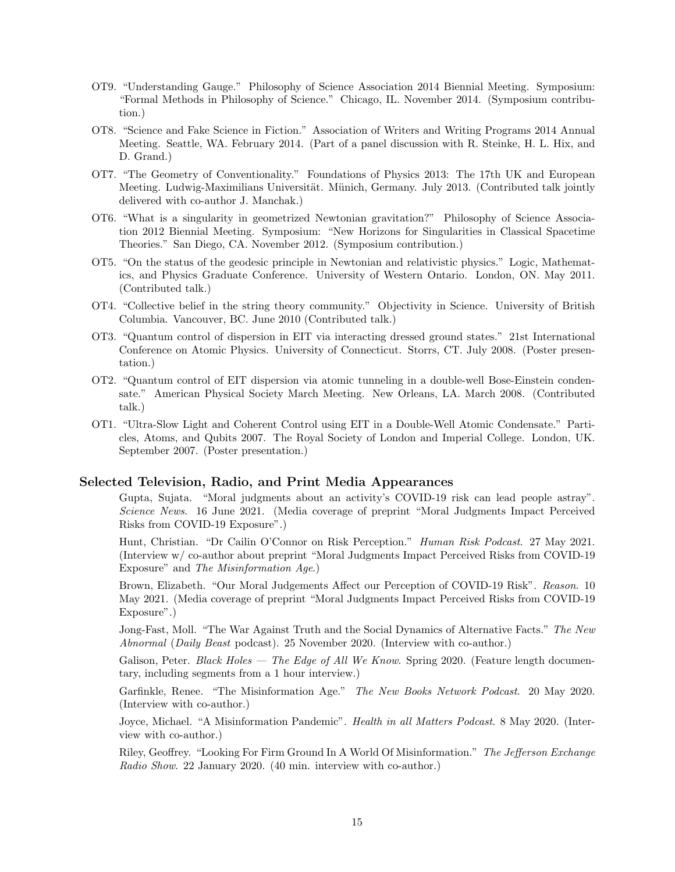- OT9. "Understanding Gauge." Philosophy of Science Association 2014 Biennial Meeting. Symposium: "Formal Methods in Philosophy of Science." Chicago, IL. November 2014. (Symposium contribution.)
- OT8. "Science and Fake Science in Fiction." Association of Writers and Writing Programs 2014 Annual Meeting. Seattle, WA. February 2014. (Part of a panel discussion with R. Steinke, H. L. Hix, and D. Grand.)
- OT7. "The Geometry of Conventionality." Foundations of Physics 2013: The 17th UK and European Meeting. Ludwig-Maximilians Universität. Münich, Germany. July 2013. (Contributed talk jointly delivered with co-author J. Manchak.)
- OT6. "What is a singularity in geometrized Newtonian gravitation?" Philosophy of Science Association 2012 Biennial Meeting. Symposium: "New Horizons for Singularities in Classical Spacetime Theories." San Diego, CA. November 2012. (Symposium contribution.)
- OT5. "On the status of the geodesic principle in Newtonian and relativistic physics." Logic, Mathematics, and Physics Graduate Conference. University of Western Ontario. London, ON. May 2011. (Contributed talk.)
- OT4. "Collective belief in the string theory community." Objectivity in Science. University of British Columbia. Vancouver, BC. June 2010 (Contributed talk.)
- OT3. "Quantum control of dispersion in EIT via interacting dressed ground states." 21st International Conference on Atomic Physics. University of Connecticut. Storrs, CT. July 2008. (Poster presentation.)
- OT2. "Quantum control of EIT dispersion via atomic tunneling in a double-well Bose-Einstein condensate." American Physical Society March Meeting. New Orleans, LA. March 2008. (Contributed talk.)
- OT1. "Ultra-Slow Light and Coherent Control using EIT in a Double-Well Atomic Condensate." Particles, Atoms, and Qubits 2007. The Royal Society of London and Imperial College. London, UK. September 2007. (Poster presentation.)

## Selected Television, Radio, and Print Media Appearances

Gupta, Sujata. "Moral judgments about an activity's COVID-19 risk can lead people astray". Science News. 16 June 2021. (Media coverage of preprint "Moral Judgments Impact Perceived Risks from COVID-19 Exposure".)

Hunt, Christian. "Dr Cailin O'Connor on Risk Perception." Human Risk Podcast. 27 May 2021. (Interview w/ co-author about preprint "Moral Judgments Impact Perceived Risks from COVID-19 Exposure" and The Misinformation Age.)

Brown, Elizabeth. "Our Moral Judgements Affect our Perception of COVID-19 Risk". Reason. 10 May 2021. (Media coverage of preprint "Moral Judgments Impact Perceived Risks from COVID-19 Exposure".)

Jong-Fast, Moll. "The War Against Truth and the Social Dynamics of Alternative Facts." The New Abnormal (Daily Beast podcast). 25 November 2020. (Interview with co-author.)

Galison, Peter. Black Holes - The Edge of All We Know. Spring 2020. (Feature length documentary, including segments from a 1 hour interview.)

Garfinkle, Renee. "The Misinformation Age." The New Books Network Podcast. 20 May 2020. (Interview with co-author.)

Joyce, Michael. "A Misinformation Pandemic". Health in all Matters Podcast. 8 May 2020. (Interview with co-author.)

Riley, Geoffrey. "Looking For Firm Ground In A World Of Misinformation." The Jefferson Exchange Radio Show. 22 January 2020. (40 min. interview with co-author.)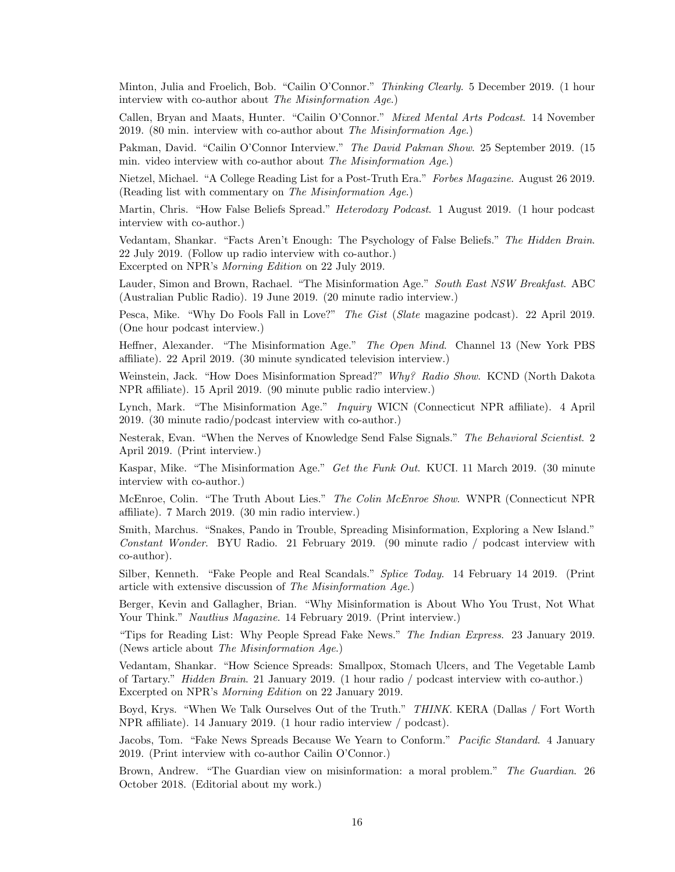Minton, Julia and Froelich, Bob. "Cailin O'Connor." Thinking Clearly. 5 December 2019. (1 hour interview with co-author about The Misinformation Age.)

Callen, Bryan and Maats, Hunter. "Cailin O'Connor." Mixed Mental Arts Podcast. 14 November 2019. (80 min. interview with co-author about The Misinformation  $Aqe$ .)

Pakman, David. "Cailin O'Connor Interview." The David Pakman Show. 25 September 2019. (15 min. video interview with co-author about The Misinformation Age.)

Nietzel, Michael. "A College Reading List for a Post-Truth Era." Forbes Magazine. August 26 2019. (Reading list with commentary on The Misinformation Age.)

Martin, Chris. "How False Beliefs Spread." *Heterodoxy Podcast.* 1 August 2019. (1 hour podcast interview with co-author.)

Vedantam, Shankar. "Facts Aren't Enough: The Psychology of False Beliefs." The Hidden Brain. 22 July 2019. (Follow up radio interview with co-author.) Excerpted on NPR's Morning Edition on 22 July 2019.

Lauder, Simon and Brown, Rachael. "The Misinformation Age." South East NSW Breakfast. ABC (Australian Public Radio). 19 June 2019. (20 minute radio interview.)

Pesca, Mike. "Why Do Fools Fall in Love?" The Gist (Slate magazine podcast). 22 April 2019. (One hour podcast interview.)

Heffner, Alexander. "The Misinformation Age." The Open Mind. Channel 13 (New York PBS affiliate). 22 April 2019. (30 minute syndicated television interview.)

Weinstein, Jack. "How Does Misinformation Spread?" Why? Radio Show. KCND (North Dakota NPR affiliate). 15 April 2019. (90 minute public radio interview.)

Lynch, Mark. "The Misinformation Age." Inquiry WICN (Connecticut NPR affiliate). 4 April 2019. (30 minute radio/podcast interview with co-author.)

Nesterak, Evan. "When the Nerves of Knowledge Send False Signals." The Behavioral Scientist. 2 April 2019. (Print interview.)

Kaspar, Mike. "The Misinformation Age." Get the Funk Out. KUCI. 11 March 2019. (30 minute interview with co-author.)

McEnroe, Colin. "The Truth About Lies." The Colin McEnroe Show. WNPR (Connecticut NPR affiliate). 7 March 2019. (30 min radio interview.)

Smith, Marchus. "Snakes, Pando in Trouble, Spreading Misinformation, Exploring a New Island." Constant Wonder. BYU Radio. 21 February 2019. (90 minute radio / podcast interview with co-author).

Silber, Kenneth. "Fake People and Real Scandals." Splice Today. 14 February 14 2019. (Print article with extensive discussion of The Misinformation Age.)

Berger, Kevin and Gallagher, Brian. "Why Misinformation is About Who You Trust, Not What Your Think." Nautlius Magazine. 14 February 2019. (Print interview.)

"Tips for Reading List: Why People Spread Fake News." The Indian Express. 23 January 2019. (News article about The Misinformation Age.)

Vedantam, Shankar. "How Science Spreads: Smallpox, Stomach Ulcers, and The Vegetable Lamb of Tartary." Hidden Brain. 21 January 2019. (1 hour radio / podcast interview with co-author.) Excerpted on NPR's Morning Edition on 22 January 2019.

Boyd, Krys. "When We Talk Ourselves Out of the Truth." THINK. KERA (Dallas / Fort Worth NPR affiliate). 14 January 2019. (1 hour radio interview / podcast).

Jacobs, Tom. "Fake News Spreads Because We Yearn to Conform." *Pacific Standard*. 4 January 2019. (Print interview with co-author Cailin O'Connor.)

Brown, Andrew. "The Guardian view on misinformation: a moral problem." The Guardian. 26 October 2018. (Editorial about my work.)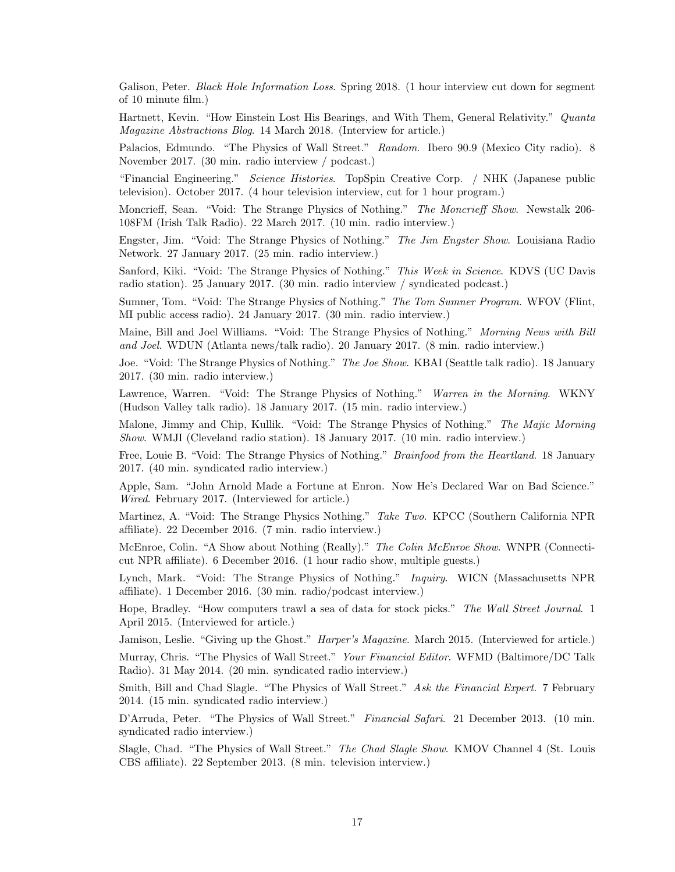Galison, Peter. Black Hole Information Loss. Spring 2018. (1 hour interview cut down for segment of 10 minute film.)

Hartnett, Kevin. "How Einstein Lost His Bearings, and With Them, General Relativity." Quanta Magazine Abstractions Blog. 14 March 2018. (Interview for article.)

Palacios, Edmundo. "The Physics of Wall Street." Random. Ibero 90.9 (Mexico City radio). 8 November 2017. (30 min. radio interview / podcast.)

"Financial Engineering." Science Histories. TopSpin Creative Corp. / NHK (Japanese public television). October 2017. (4 hour television interview, cut for 1 hour program.)

Moncrieff, Sean. "Void: The Strange Physics of Nothing." The Moncrieff Show. Newstalk 206- 108FM (Irish Talk Radio). 22 March 2017. (10 min. radio interview.)

Engster, Jim. "Void: The Strange Physics of Nothing." The Jim Engster Show. Louisiana Radio Network. 27 January 2017. (25 min. radio interview.)

Sanford, Kiki. "Void: The Strange Physics of Nothing." This Week in Science. KDVS (UC Davis radio station). 25 January 2017. (30 min. radio interview / syndicated podcast.)

Sumner, Tom. "Void: The Strange Physics of Nothing." The Tom Sumner Program. WFOV (Flint, MI public access radio). 24 January 2017. (30 min. radio interview.)

Maine, Bill and Joel Williams. "Void: The Strange Physics of Nothing." Morning News with Bill and Joel. WDUN (Atlanta news/talk radio). 20 January 2017. (8 min. radio interview.)

Joe. "Void: The Strange Physics of Nothing." The Joe Show. KBAI (Seattle talk radio). 18 January 2017. (30 min. radio interview.)

Lawrence, Warren. "Void: The Strange Physics of Nothing." Warren in the Morning. WKNY (Hudson Valley talk radio). 18 January 2017. (15 min. radio interview.)

Malone, Jimmy and Chip, Kullik. "Void: The Strange Physics of Nothing." The Majic Morning Show. WMJI (Cleveland radio station). 18 January 2017. (10 min. radio interview.)

Free, Louie B. "Void: The Strange Physics of Nothing." *Brainfood from the Heartland*. 18 January 2017. (40 min. syndicated radio interview.)

Apple, Sam. "John Arnold Made a Fortune at Enron. Now He's Declared War on Bad Science." Wired. February 2017. (Interviewed for article.)

Martinez, A. "Void: The Strange Physics Nothing." Take Two. KPCC (Southern California NPR affiliate). 22 December 2016. (7 min. radio interview.)

McEnroe, Colin. "A Show about Nothing (Really)." The Colin McEnroe Show. WNPR (Connecticut NPR affiliate). 6 December 2016. (1 hour radio show, multiple guests.)

Lynch, Mark. "Void: The Strange Physics of Nothing." *Inquiry.* WICN (Massachusetts NPR) affiliate). 1 December 2016. (30 min. radio/podcast interview.)

Hope, Bradley. "How computers trawl a sea of data for stock picks." The Wall Street Journal. 1 April 2015. (Interviewed for article.)

Jamison, Leslie. "Giving up the Ghost." *Harper's Magazine*. March 2015. (Interviewed for article.)

Murray, Chris. "The Physics of Wall Street." Your Financial Editor. WFMD (Baltimore/DC Talk Radio). 31 May 2014. (20 min. syndicated radio interview.)

Smith, Bill and Chad Slagle. "The Physics of Wall Street." Ask the Financial Expert. 7 February 2014. (15 min. syndicated radio interview.)

D'Arruda, Peter. "The Physics of Wall Street." Financial Safari. 21 December 2013. (10 min. syndicated radio interview.)

Slagle, Chad. "The Physics of Wall Street." The Chad Slagle Show. KMOV Channel 4 (St. Louis CBS affiliate). 22 September 2013. (8 min. television interview.)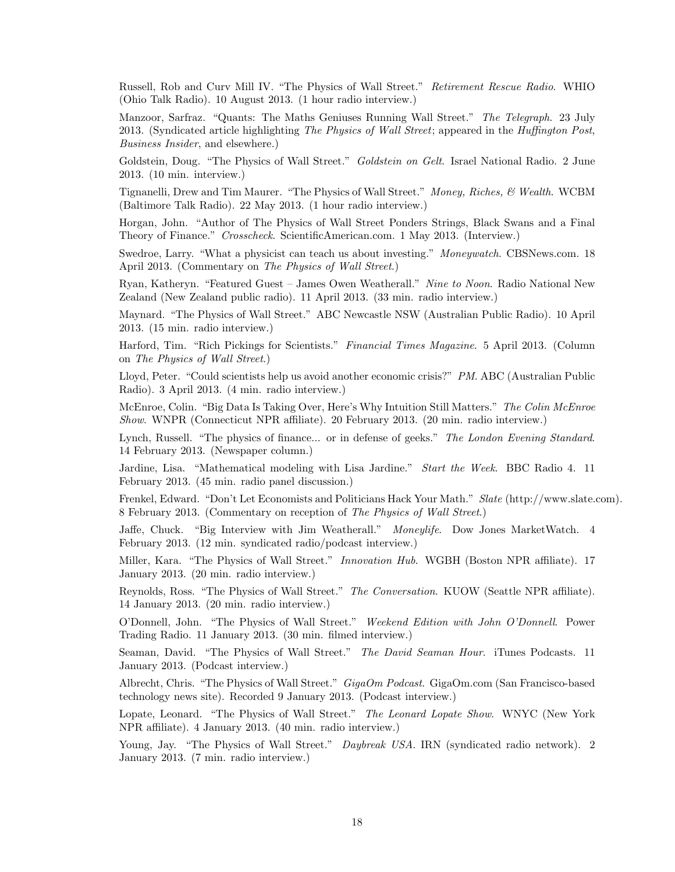Russell, Rob and Curv Mill IV. "The Physics of Wall Street." Retirement Rescue Radio. WHIO (Ohio Talk Radio). 10 August 2013. (1 hour radio interview.)

Manzoor, Sarfraz. "Quants: The Maths Geniuses Running Wall Street." The Telegraph. 23 July 2013. (Syndicated article highlighting The Physics of Wall Street; appeared in the Huffington Post, Business Insider, and elsewhere.)

Goldstein, Doug. "The Physics of Wall Street." *Goldstein on Gelt*. Israel National Radio. 2 June 2013. (10 min. interview.)

Tignanelli, Drew and Tim Maurer. "The Physics of Wall Street." Money, Riches, & Wealth. WCBM (Baltimore Talk Radio). 22 May 2013. (1 hour radio interview.)

Horgan, John. "Author of The Physics of Wall Street Ponders Strings, Black Swans and a Final Theory of Finance." Crosscheck. ScientificAmerican.com. 1 May 2013. (Interview.)

Swedroe, Larry. "What a physicist can teach us about investing." Moneywatch. CBSNews.com. 18 April 2013. (Commentary on The Physics of Wall Street.)

Ryan, Katheryn. "Featured Guest – James Owen Weatherall." Nine to Noon. Radio National New Zealand (New Zealand public radio). 11 April 2013. (33 min. radio interview.)

Maynard. "The Physics of Wall Street." ABC Newcastle NSW (Australian Public Radio). 10 April 2013. (15 min. radio interview.)

Harford, Tim. "Rich Pickings for Scientists." Financial Times Magazine. 5 April 2013. (Column on The Physics of Wall Street.)

Lloyd, Peter. "Could scientists help us avoid another economic crisis?" PM. ABC (Australian Public Radio). 3 April 2013. (4 min. radio interview.)

McEnroe, Colin. "Big Data Is Taking Over, Here's Why Intuition Still Matters." The Colin McEnroe Show. WNPR (Connecticut NPR affiliate). 20 February 2013. (20 min. radio interview.)

Lynch, Russell. "The physics of finance... or in defense of geeks." The London Evening Standard. 14 February 2013. (Newspaper column.)

Jardine, Lisa. "Mathematical modeling with Lisa Jardine." Start the Week. BBC Radio 4. 11 February 2013. (45 min. radio panel discussion.)

Frenkel, Edward. "Don't Let Economists and Politicians Hack Your Math." Slate (http://www.slate.com). 8 February 2013. (Commentary on reception of The Physics of Wall Street.)

Jaffe, Chuck. "Big Interview with Jim Weatherall." Moneylife. Dow Jones MarketWatch. 4 February 2013. (12 min. syndicated radio/podcast interview.)

Miller, Kara. "The Physics of Wall Street." Innovation Hub. WGBH (Boston NPR affiliate). 17 January 2013. (20 min. radio interview.)

Reynolds, Ross. "The Physics of Wall Street." The Conversation. KUOW (Seattle NPR affiliate). 14 January 2013. (20 min. radio interview.)

O'Donnell, John. "The Physics of Wall Street." Weekend Edition with John O'Donnell. Power Trading Radio. 11 January 2013. (30 min. filmed interview.)

Seaman, David. "The Physics of Wall Street." The David Seaman Hour. iTunes Podcasts. 11 January 2013. (Podcast interview.)

Albrecht, Chris. "The Physics of Wall Street." GigaOm Podcast. GigaOm.com (San Francisco-based technology news site). Recorded 9 January 2013. (Podcast interview.)

Lopate, Leonard. "The Physics of Wall Street." The Leonard Lopate Show. WNYC (New York NPR affiliate). 4 January 2013. (40 min. radio interview.)

Young, Jay. "The Physics of Wall Street." Daybreak USA. IRN (syndicated radio network). 2 January 2013. (7 min. radio interview.)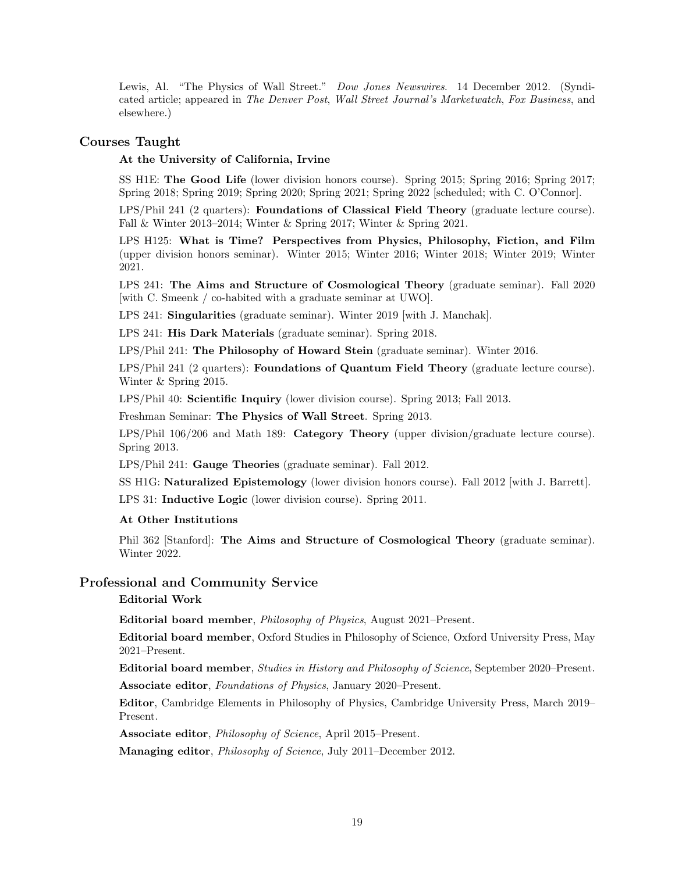Lewis, Al. "The Physics of Wall Street." Dow Jones Newswires. 14 December 2012. (Syndicated article; appeared in The Denver Post, Wall Street Journal's Marketwatch, Fox Business, and elsewhere.)

# Courses Taught

#### At the University of California, Irvine

SS H1E: The Good Life (lower division honors course). Spring 2015; Spring 2016; Spring 2017; Spring 2018; Spring 2019; Spring 2020; Spring 2021; Spring 2022 [scheduled; with C. O'Connor].

LPS/Phil 241 (2 quarters): Foundations of Classical Field Theory (graduate lecture course). Fall & Winter 2013–2014; Winter & Spring 2017; Winter & Spring 2021.

LPS H125: What is Time? Perspectives from Physics, Philosophy, Fiction, and Film (upper division honors seminar). Winter 2015; Winter 2016; Winter 2018; Winter 2019; Winter 2021.

LPS 241: The Aims and Structure of Cosmological Theory (graduate seminar). Fall 2020 [with C. Smeenk / co-habited with a graduate seminar at UWO].

LPS 241: Singularities (graduate seminar). Winter 2019 [with J. Manchak].

LPS 241: His Dark Materials (graduate seminar). Spring 2018.

LPS/Phil 241: The Philosophy of Howard Stein (graduate seminar). Winter 2016.

LPS/Phil 241 (2 quarters): Foundations of Quantum Field Theory (graduate lecture course). Winter & Spring 2015.

LPS/Phil 40: Scientific Inquiry (lower division course). Spring 2013; Fall 2013.

Freshman Seminar: The Physics of Wall Street. Spring 2013.

LPS/Phil 106/206 and Math 189: Category Theory (upper division/graduate lecture course). Spring 2013.

LPS/Phil 241: Gauge Theories (graduate seminar). Fall 2012.

SS H1G: Naturalized Epistemology (lower division honors course). Fall 2012 [with J. Barrett].

LPS 31: Inductive Logic (lower division course). Spring 2011.

#### At Other Institutions

Phil 362 [Stanford]: The Aims and Structure of Cosmological Theory (graduate seminar). Winter 2022.

### Professional and Community Service

## Editorial Work

Editorial board member, Philosophy of Physics, August 2021–Present.

Editorial board member, Oxford Studies in Philosophy of Science, Oxford University Press, May 2021–Present.

Editorial board member, Studies in History and Philosophy of Science, September 2020–Present.

Associate editor, Foundations of Physics, January 2020–Present.

Editor, Cambridge Elements in Philosophy of Physics, Cambridge University Press, March 2019– Present.

Associate editor, Philosophy of Science, April 2015–Present.

Managing editor, Philosophy of Science, July 2011–December 2012.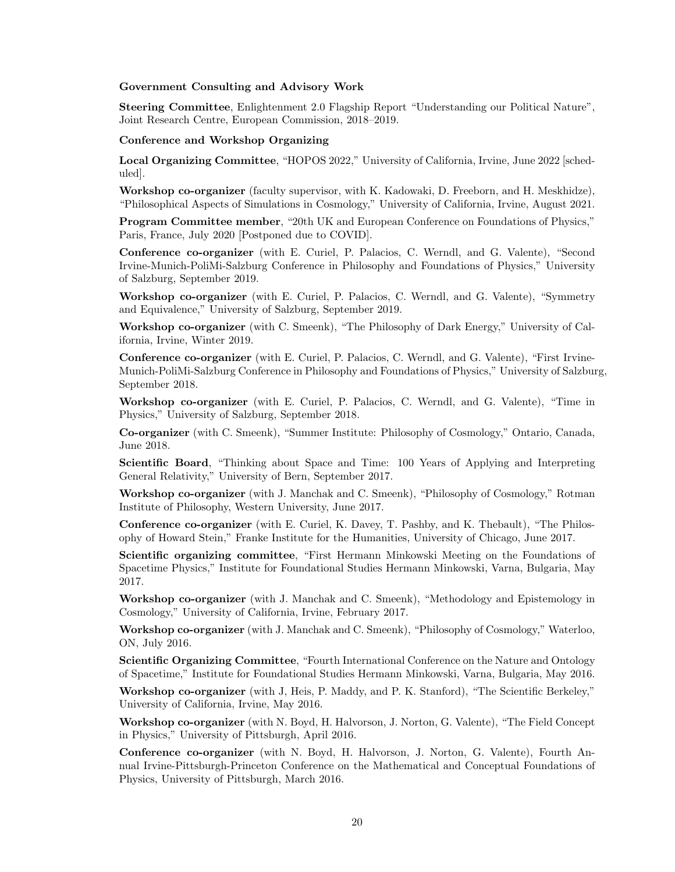#### Government Consulting and Advisory Work

Steering Committee, Enlightenment 2.0 Flagship Report "Understanding our Political Nature", Joint Research Centre, European Commission, 2018–2019.

#### Conference and Workshop Organizing

Local Organizing Committee, "HOPOS 2022," University of California, Irvine, June 2022 [scheduled].

Workshop co-organizer (faculty supervisor, with K. Kadowaki, D. Freeborn, and H. Meskhidze), "Philosophical Aspects of Simulations in Cosmology," University of California, Irvine, August 2021.

Program Committee member, "20th UK and European Conference on Foundations of Physics," Paris, France, July 2020 [Postponed due to COVID].

Conference co-organizer (with E. Curiel, P. Palacios, C. Werndl, and G. Valente), "Second Irvine-Munich-PoliMi-Salzburg Conference in Philosophy and Foundations of Physics," University of Salzburg, September 2019.

Workshop co-organizer (with E. Curiel, P. Palacios, C. Werndl, and G. Valente), "Symmetry and Equivalence," University of Salzburg, September 2019.

Workshop co-organizer (with C. Smeenk), "The Philosophy of Dark Energy," University of California, Irvine, Winter 2019.

Conference co-organizer (with E. Curiel, P. Palacios, C. Werndl, and G. Valente), "First Irvine-Munich-PoliMi-Salzburg Conference in Philosophy and Foundations of Physics," University of Salzburg, September 2018.

Workshop co-organizer (with E. Curiel, P. Palacios, C. Werndl, and G. Valente), "Time in Physics," University of Salzburg, September 2018.

Co-organizer (with C. Smeenk), "Summer Institute: Philosophy of Cosmology," Ontario, Canada, June 2018.

Scientific Board, "Thinking about Space and Time: 100 Years of Applying and Interpreting General Relativity," University of Bern, September 2017.

Workshop co-organizer (with J. Manchak and C. Smeenk), "Philosophy of Cosmology," Rotman Institute of Philosophy, Western University, June 2017.

Conference co-organizer (with E. Curiel, K. Davey, T. Pashby, and K. Thebault), "The Philosophy of Howard Stein," Franke Institute for the Humanities, University of Chicago, June 2017.

Scientific organizing committee, "First Hermann Minkowski Meeting on the Foundations of Spacetime Physics," Institute for Foundational Studies Hermann Minkowski, Varna, Bulgaria, May 2017.

Workshop co-organizer (with J. Manchak and C. Smeenk), "Methodology and Epistemology in Cosmology," University of California, Irvine, February 2017.

Workshop co-organizer (with J. Manchak and C. Smeenk), "Philosophy of Cosmology," Waterloo, ON, July 2016.

Scientific Organizing Committee, "Fourth International Conference on the Nature and Ontology of Spacetime," Institute for Foundational Studies Hermann Minkowski, Varna, Bulgaria, May 2016.

Workshop co-organizer (with J, Heis, P. Maddy, and P. K. Stanford), "The Scientific Berkeley," University of California, Irvine, May 2016.

Workshop co-organizer (with N. Boyd, H. Halvorson, J. Norton, G. Valente), "The Field Concept in Physics," University of Pittsburgh, April 2016.

Conference co-organizer (with N. Boyd, H. Halvorson, J. Norton, G. Valente), Fourth Annual Irvine-Pittsburgh-Princeton Conference on the Mathematical and Conceptual Foundations of Physics, University of Pittsburgh, March 2016.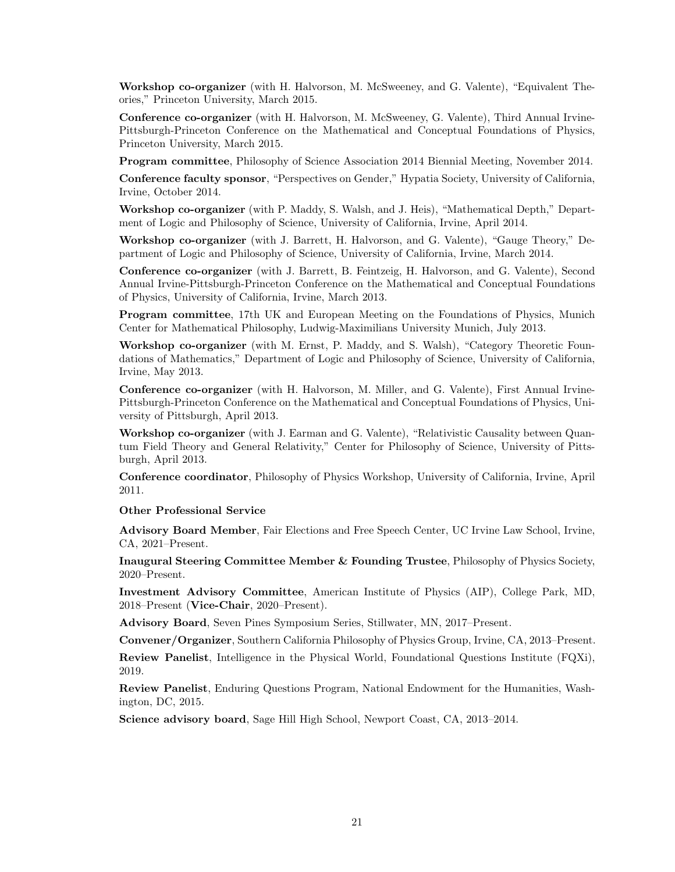Workshop co-organizer (with H. Halvorson, M. McSweeney, and G. Valente), "Equivalent Theories," Princeton University, March 2015.

Conference co-organizer (with H. Halvorson, M. McSweeney, G. Valente), Third Annual Irvine-Pittsburgh-Princeton Conference on the Mathematical and Conceptual Foundations of Physics, Princeton University, March 2015.

Program committee, Philosophy of Science Association 2014 Biennial Meeting, November 2014.

Conference faculty sponsor, "Perspectives on Gender," Hypatia Society, University of California, Irvine, October 2014.

Workshop co-organizer (with P. Maddy, S. Walsh, and J. Heis), "Mathematical Depth," Department of Logic and Philosophy of Science, University of California, Irvine, April 2014.

Workshop co-organizer (with J. Barrett, H. Halvorson, and G. Valente), "Gauge Theory," Department of Logic and Philosophy of Science, University of California, Irvine, March 2014.

Conference co-organizer (with J. Barrett, B. Feintzeig, H. Halvorson, and G. Valente), Second Annual Irvine-Pittsburgh-Princeton Conference on the Mathematical and Conceptual Foundations of Physics, University of California, Irvine, March 2013.

Program committee, 17th UK and European Meeting on the Foundations of Physics, Munich Center for Mathematical Philosophy, Ludwig-Maximilians University Munich, July 2013.

Workshop co-organizer (with M. Ernst, P. Maddy, and S. Walsh), "Category Theoretic Foundations of Mathematics," Department of Logic and Philosophy of Science, University of California, Irvine, May 2013.

Conference co-organizer (with H. Halvorson, M. Miller, and G. Valente), First Annual Irvine-Pittsburgh-Princeton Conference on the Mathematical and Conceptual Foundations of Physics, University of Pittsburgh, April 2013.

Workshop co-organizer (with J. Earman and G. Valente), "Relativistic Causality between Quantum Field Theory and General Relativity," Center for Philosophy of Science, University of Pittsburgh, April 2013.

Conference coordinator, Philosophy of Physics Workshop, University of California, Irvine, April 2011.

#### Other Professional Service

Advisory Board Member, Fair Elections and Free Speech Center, UC Irvine Law School, Irvine, CA, 2021–Present.

Inaugural Steering Committee Member & Founding Trustee, Philosophy of Physics Society, 2020–Present.

Investment Advisory Committee, American Institute of Physics (AIP), College Park, MD, 2018–Present (Vice-Chair, 2020–Present).

Advisory Board, Seven Pines Symposium Series, Stillwater, MN, 2017–Present.

Convener/Organizer, Southern California Philosophy of Physics Group, Irvine, CA, 2013–Present.

Review Panelist, Intelligence in the Physical World, Foundational Questions Institute (FQXi), 2019.

Review Panelist, Enduring Questions Program, National Endowment for the Humanities, Washington, DC, 2015.

Science advisory board, Sage Hill High School, Newport Coast, CA, 2013–2014.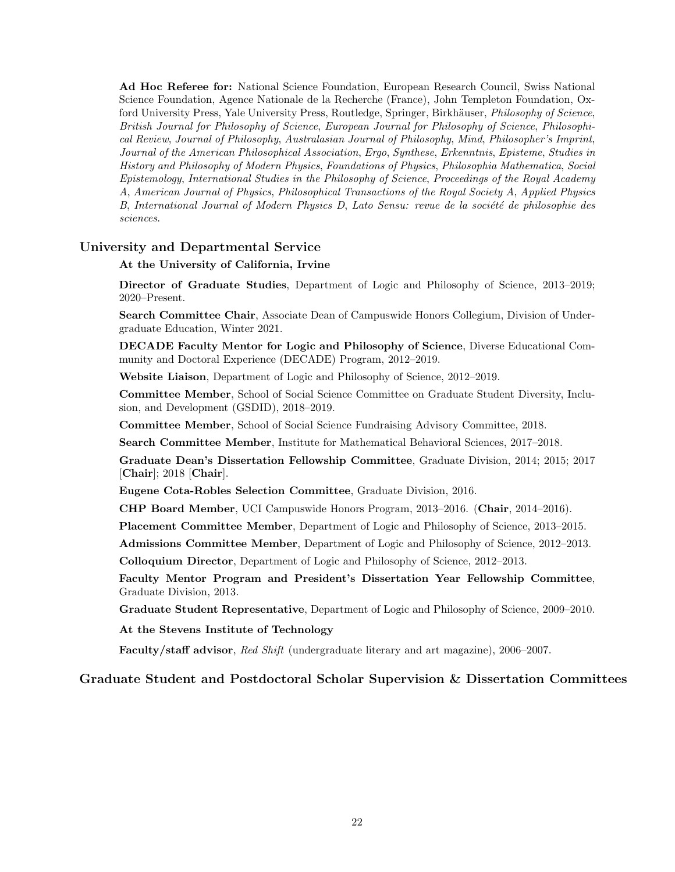Ad Hoc Referee for: National Science Foundation, European Research Council, Swiss National Science Foundation, Agence Nationale de la Recherche (France), John Templeton Foundation, Oxford University Press, Yale University Press, Routledge, Springer, Birkhäuser, *Philosophy of Science*, British Journal for Philosophy of Science, European Journal for Philosophy of Science, Philosophical Review, Journal of Philosophy, Australasian Journal of Philosophy, Mind, Philosopher's Imprint, Journal of the American Philosophical Association, Ergo, Synthese, Erkenntnis, Episteme, Studies in History and Philosophy of Modern Physics, Foundations of Physics, Philosophia Mathematica, Social Epistemology, International Studies in the Philosophy of Science, Proceedings of the Royal Academy A, American Journal of Physics, Philosophical Transactions of the Royal Society A, Applied Physics B, International Journal of Modern Physics D, Lato Sensu: revue de la société de philosophie des sciences.

# University and Departmental Service

## At the University of California, Irvine

Director of Graduate Studies, Department of Logic and Philosophy of Science, 2013–2019; 2020–Present.

Search Committee Chair, Associate Dean of Campuswide Honors Collegium, Division of Undergraduate Education, Winter 2021.

DECADE Faculty Mentor for Logic and Philosophy of Science, Diverse Educational Community and Doctoral Experience (DECADE) Program, 2012–2019.

Website Liaison, Department of Logic and Philosophy of Science, 2012–2019.

Committee Member, School of Social Science Committee on Graduate Student Diversity, Inclusion, and Development (GSDID), 2018–2019.

Committee Member, School of Social Science Fundraising Advisory Committee, 2018.

Search Committee Member, Institute for Mathematical Behavioral Sciences, 2017–2018.

Graduate Dean's Dissertation Fellowship Committee, Graduate Division, 2014; 2015; 2017 [Chair]; 2018 [Chair].

Eugene Cota-Robles Selection Committee, Graduate Division, 2016.

CHP Board Member, UCI Campuswide Honors Program, 2013–2016. (Chair, 2014–2016).

Placement Committee Member, Department of Logic and Philosophy of Science, 2013–2015.

Admissions Committee Member, Department of Logic and Philosophy of Science, 2012–2013.

Colloquium Director, Department of Logic and Philosophy of Science, 2012–2013.

Faculty Mentor Program and President's Dissertation Year Fellowship Committee, Graduate Division, 2013.

Graduate Student Representative, Department of Logic and Philosophy of Science, 2009–2010.

At the Stevens Institute of Technology

Faculty/staff advisor, Red Shift (undergraduate literary and art magazine), 2006–2007.

# Graduate Student and Postdoctoral Scholar Supervision & Dissertation Committees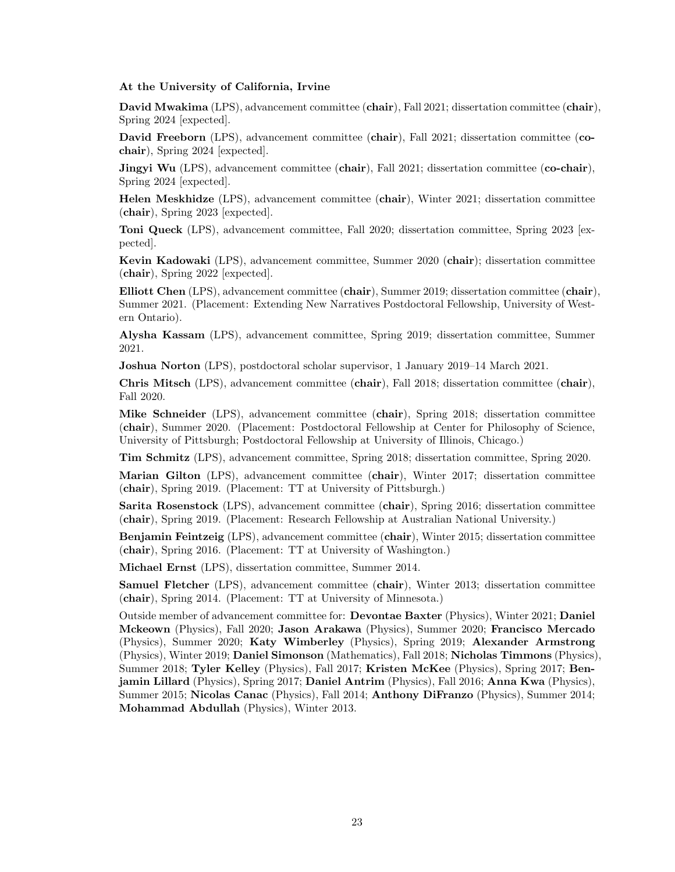#### At the University of California, Irvine

David Mwakima (LPS), advancement committee (chair), Fall 2021; dissertation committee (chair), Spring 2024 [expected].

David Freeborn (LPS), advancement committee (chair), Fall 2021; dissertation committee (cochair), Spring 2024 [expected].

**Jingyi Wu** (LPS), advancement committee (chair), Fall 2021; dissertation committee (co-chair), Spring 2024 [expected].

Helen Meskhidze (LPS), advancement committee (chair), Winter 2021; dissertation committee (chair), Spring 2023 [expected].

Toni Queck (LPS), advancement committee, Fall 2020; dissertation committee, Spring 2023 [expected].

Kevin Kadowaki (LPS), advancement committee, Summer 2020 (chair); dissertation committee (chair), Spring 2022 [expected].

Elliott Chen (LPS), advancement committee (chair), Summer 2019; dissertation committee (chair), Summer 2021. (Placement: Extending New Narratives Postdoctoral Fellowship, University of Western Ontario).

Alysha Kassam (LPS), advancement committee, Spring 2019; dissertation committee, Summer 2021.

Joshua Norton (LPS), postdoctoral scholar supervisor, 1 January 2019–14 March 2021.

Chris Mitsch (LPS), advancement committee (chair), Fall 2018; dissertation committee (chair), Fall 2020.

Mike Schneider (LPS), advancement committee (chair), Spring 2018; dissertation committee (chair), Summer 2020. (Placement: Postdoctoral Fellowship at Center for Philosophy of Science, University of Pittsburgh; Postdoctoral Fellowship at University of Illinois, Chicago.)

Tim Schmitz (LPS), advancement committee, Spring 2018; dissertation committee, Spring 2020.

Marian Gilton (LPS), advancement committee (chair), Winter 2017; dissertation committee (chair), Spring 2019. (Placement: TT at University of Pittsburgh.)

Sarita Rosenstock (LPS), advancement committee (chair), Spring 2016; dissertation committee (chair), Spring 2019. (Placement: Research Fellowship at Australian National University.)

Benjamin Feintzeig (LPS), advancement committee (chair), Winter 2015; dissertation committee (chair), Spring 2016. (Placement: TT at University of Washington.)

Michael Ernst (LPS), dissertation committee, Summer 2014.

Samuel Fletcher (LPS), advancement committee (chair), Winter 2013; dissertation committee (chair), Spring 2014. (Placement: TT at University of Minnesota.)

Outside member of advancement committee for: Devontae Baxter (Physics), Winter 2021; Daniel Mckeown (Physics), Fall 2020; Jason Arakawa (Physics), Summer 2020; Francisco Mercado (Physics), Summer 2020; Katy Wimberley (Physics), Spring 2019; Alexander Armstrong (Physics), Winter 2019; Daniel Simonson (Mathematics), Fall 2018; Nicholas Timmons (Physics), Summer 2018; Tyler Kelley (Physics), Fall 2017; Kristen McKee (Physics), Spring 2017; Benjamin Lillard (Physics), Spring 2017; Daniel Antrim (Physics), Fall 2016; Anna Kwa (Physics), Summer 2015; Nicolas Canac (Physics), Fall 2014; Anthony DiFranzo (Physics), Summer 2014; Mohammad Abdullah (Physics), Winter 2013.